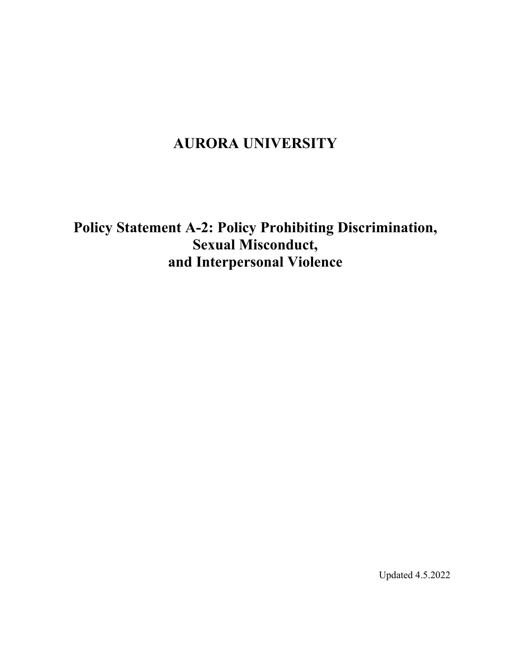# **AURORA UNIVERSITY**

**Policy Statement A-2: Policy Prohibiting Discrimination, Sexual Misconduct, and Interpersonal Violence**

Updated 4.5.2022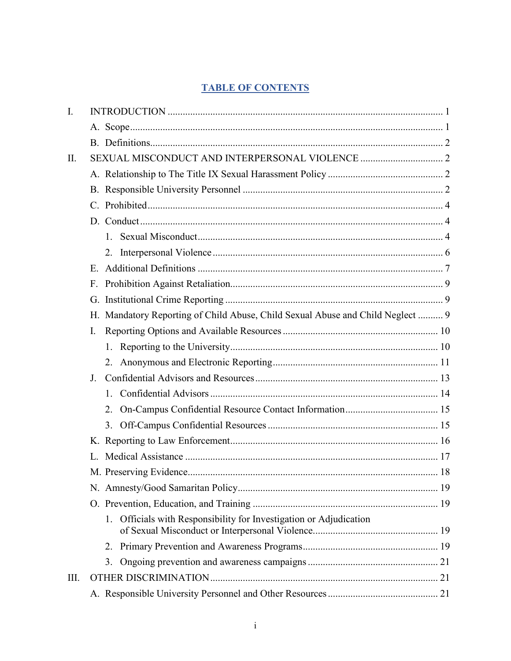# **TABLE OF CONTENTS**

| I.   |    |                                                                                |  |
|------|----|--------------------------------------------------------------------------------|--|
|      |    |                                                                                |  |
|      |    |                                                                                |  |
| Π.   |    |                                                                                |  |
|      |    |                                                                                |  |
|      |    |                                                                                |  |
|      |    |                                                                                |  |
|      |    |                                                                                |  |
|      |    | $1_{-}$                                                                        |  |
|      |    | 2.                                                                             |  |
|      | E. |                                                                                |  |
|      | F. |                                                                                |  |
|      | G. |                                                                                |  |
|      |    | H. Mandatory Reporting of Child Abuse, Child Sexual Abuse and Child Neglect  9 |  |
|      | I. |                                                                                |  |
|      |    |                                                                                |  |
|      |    |                                                                                |  |
|      | J. |                                                                                |  |
|      |    | 1.                                                                             |  |
|      |    | 2.                                                                             |  |
|      |    | 3.                                                                             |  |
|      |    |                                                                                |  |
|      | L. |                                                                                |  |
|      |    |                                                                                |  |
|      |    |                                                                                |  |
|      |    |                                                                                |  |
|      |    | Officials with Responsibility for Investigation or Adjudication<br>1.          |  |
|      |    |                                                                                |  |
|      |    | 3.                                                                             |  |
| III. |    |                                                                                |  |
|      |    |                                                                                |  |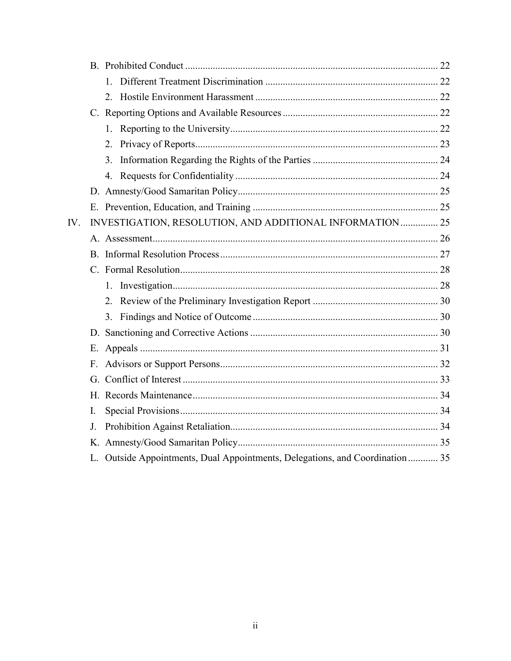|     |                | 1.                                                                            |  |
|-----|----------------|-------------------------------------------------------------------------------|--|
|     |                |                                                                               |  |
|     |                |                                                                               |  |
|     |                |                                                                               |  |
|     |                | 2.                                                                            |  |
|     |                | 3.                                                                            |  |
|     |                |                                                                               |  |
|     |                |                                                                               |  |
|     |                |                                                                               |  |
| IV. |                | INVESTIGATION, RESOLUTION, AND ADDITIONAL INFORMATION  25                     |  |
|     |                |                                                                               |  |
|     |                |                                                                               |  |
|     |                |                                                                               |  |
|     |                |                                                                               |  |
|     |                | 2.                                                                            |  |
|     |                | 3.                                                                            |  |
|     |                |                                                                               |  |
|     |                |                                                                               |  |
|     |                |                                                                               |  |
|     |                |                                                                               |  |
|     |                |                                                                               |  |
|     | Ι.             |                                                                               |  |
|     | J <sub>r</sub> |                                                                               |  |
|     |                |                                                                               |  |
|     |                | L. Outside Appointments, Dual Appointments, Delegations, and Coordination  35 |  |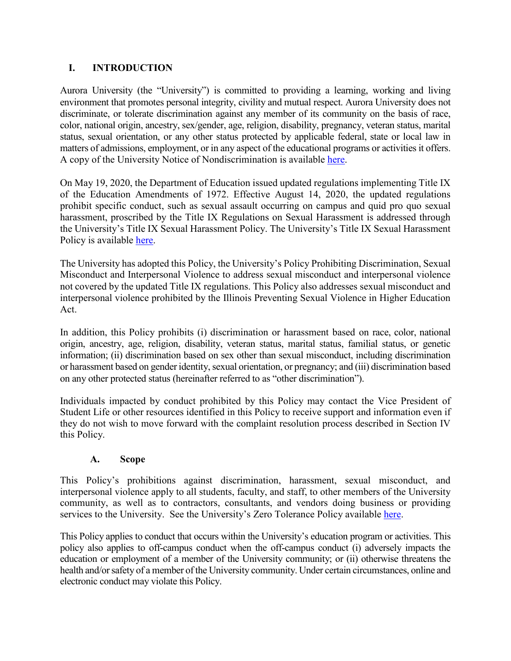# <span id="page-3-0"></span>**I. INTRODUCTION**

Aurora University (the "University") is committed to providing a learning, working and living environment that promotes personal integrity, civility and mutual respect. Aurora University does not discriminate, or tolerate discrimination against any member of its community on the basis of race, color, national origin, ancestry, sex/gender, age, religion, disability, pregnancy, veteran status, marital status, sexual orientation, or any other status protected by applicable federal, state or local law in matters of admissions, employment, or in any aspect of the educational programs or activities it offers. A copy of the University Notice of Nondiscrimination is available [here.](https://aurora.edu/documents/policies/university-notice-of-nondiscrimination.pdf)

On May 19, 2020, the Department of Education issued updated regulations implementing Title IX of the Education Amendments of 1972. Effective August 14, 2020, the updated regulations prohibit specific conduct, such as sexual assault occurring on campus and quid pro quo sexual harassment, proscribed by the Title IX Regulations on Sexual Harassment is addressed through the University's Title IX Sexual Harassment Policy. The University's Title IX Sexual Harassment Policy is available [here.](https://aurora.edu/documents/policies/title-ix-policy.pdf)

The University has adopted this Policy, the University's Policy Prohibiting Discrimination, Sexual Misconduct and Interpersonal Violence to address sexual misconduct and interpersonal violence not covered by the updated Title IX regulations. This Policy also addresses sexual misconduct and interpersonal violence prohibited by the Illinois Preventing Sexual Violence in Higher Education Act.

In addition, this Policy prohibits (i) discrimination or harassment based on race, color, national origin, ancestry, age, religion, disability, veteran status, marital status, familial status, or genetic information; (ii) discrimination based on sex other than sexual misconduct, including discrimination or harassment based on gender identity, sexual orientation, or pregnancy; and (iii) discrimination based on any other protected status (hereinafter referred to as "other discrimination").

Individuals impacted by conduct prohibited by this Policy may contact the Vice President of Student Life or other resources identified in this Policy to receive support and information even if they do not wish to move forward with the complaint resolution process described in Section IV this Policy.

#### **A. Scope**

<span id="page-3-1"></span>This Policy's prohibitions against discrimination, harassment, sexual misconduct, and interpersonal violence apply to all students, faculty, and staff, to other members of the University community, as well as to contractors, consultants, and vendors doing business or providing services to the University. See the University's Zero Tolerance Policy available [here.](https://aurora.edu/documents/policies/zero-tolerance-policy.pdf)

This Policy applies to conduct that occurs within the University's education program or activities. This policy also applies to off-campus conduct when the off-campus conduct (i) adversely impacts the education or employment of a member of the University community; or (ii) otherwise threatens the health and/or safety of a member of the University community. Under certain circumstances, online and electronic conduct may violate this Policy.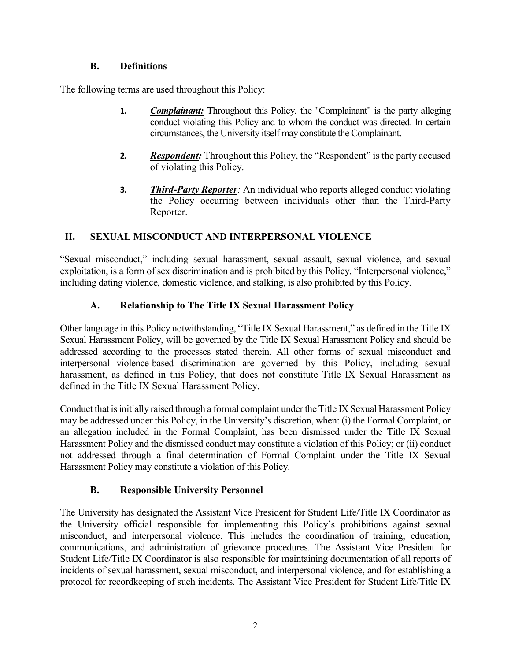### **B. Definitions**

<span id="page-4-0"></span>The following terms are used throughout this Policy:

- **1.** *Complainant:* Throughout this Policy, the "Complainant" is the party alleging conduct violating this Policy and to whom the conduct was directed. In certain circumstances, the University itself may constitute the Complainant.
- **2.** *Respondent:* Throughout this Policy, the "Respondent" is the party accused of violating this Policy.
- **3.** *Third-Party Reporter:* An individual who reports alleged conduct violating the Policy occurring between individuals other than the Third-Party Reporter.

# <span id="page-4-1"></span>**II. SEXUAL MISCONDUCT AND INTERPERSONAL VIOLENCE**

"Sexual misconduct," including sexual harassment, sexual assault, sexual violence, and sexual exploitation, is a form of sex discrimination and is prohibited by this Policy. "Interpersonal violence," including dating violence, domestic violence, and stalking, is also prohibited by this Policy.

# **A. Relationship to The Title IX Sexual Harassment Policy**

<span id="page-4-2"></span>Other language in this Policy notwithstanding, "Title IX Sexual Harassment," as defined in the Title IX Sexual Harassment Policy, will be governed by the Title IX Sexual Harassment Policy and should be addressed according to the processes stated therein. All other forms of sexual misconduct and interpersonal violence-based discrimination are governed by this Policy, including sexual harassment, as defined in this Policy, that does not constitute Title IX Sexual Harassment as defined in the Title IX Sexual Harassment Policy.

Conduct that is initially raised through a formal complaint under the Title IX Sexual Harassment Policy may be addressed under this Policy, in the University's discretion, when: (i) the Formal Complaint, or an allegation included in the Formal Complaint, has been dismissed under the Title IX Sexual Harassment Policy and the dismissed conduct may constitute a violation of this Policy; or (ii) conduct not addressed through a final determination of Formal Complaint under the Title IX Sexual Harassment Policy may constitute a violation of this Policy.

# **B. Responsible University Personnel**

<span id="page-4-3"></span>The University has designated the Assistant Vice President for Student Life/Title IX Coordinator as the University official responsible for implementing this Policy's prohibitions against sexual misconduct, and interpersonal violence. This includes the coordination of training, education, communications, and administration of grievance procedures. The Assistant Vice President for Student Life/Title IX Coordinator is also responsible for maintaining documentation of all reports of incidents of sexual harassment, sexual misconduct, and interpersonal violence, and for establishing a protocol for recordkeeping of such incidents. The Assistant Vice President for Student Life/Title IX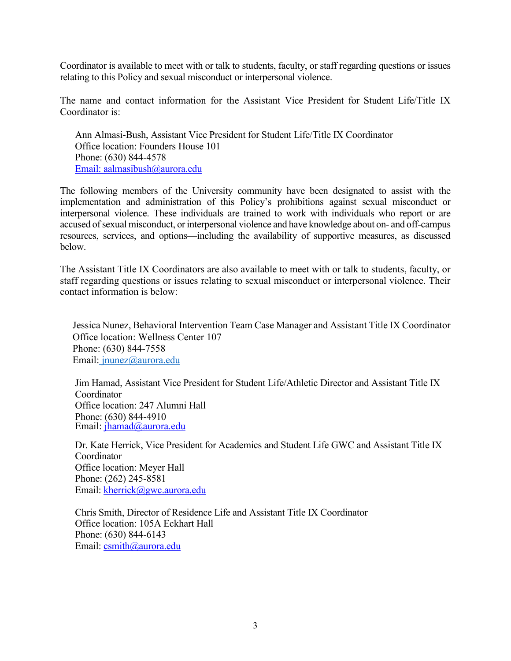Coordinator is available to meet with or talk to students, faculty, or staff regarding questions or issues relating to this Policy and sexual misconduct or interpersonal violence.

The name and contact information for the Assistant Vice President for Student Life/Title IX Coordinator is:

Ann Almasi-Bush, Assistant Vice President for Student Life/Title IX Coordinator Office location: Founders House 101 Phone: (630) 844-4578 [Email: aalmasibush@aurora.edu](mailto:Email:%20aalmasibush@aurora.edu) 

The following members of the University community have been designated to assist with the implementation and administration of this Policy's prohibitions against sexual misconduct or interpersonal violence. These individuals are trained to work with individuals who report or are accused of sexual misconduct, or interpersonal violence and have knowledge about on- and off-campus resources, services, and options—including the availability of supportive measures, as discussed below.

The Assistant Title IX Coordinators are also available to meet with or talk to students, faculty, or staff regarding questions or issues relating to sexual misconduct or interpersonal violence. Their contact information is below:

 Jessica Nunez, Behavioral Intervention Team Case Manager and Assistant Title IX Coordinator Office location: Wellness Center 107 Phone: (630) 844-7558 Email[: jnunez@aurora.edu](mailto:%20jnunez@aurora.edu) 

Jim Hamad, Assistant Vice President for Student Life/Athletic Director and Assistant Title IX Coordinator Office location: 247 Alumni Hall Phone: (630) 844-4910 Email: [jhamad@aurora.edu](mailto:jhamad@aurora.edu)

Dr. Kate Herrick, Vice President for Academics and Student Life GWC and Assistant Title IX Coordinator Office location: Meyer Hall Phone: (262) 245-8581 Email: kherrick@gwc.aurora.edu

Chris Smith, Director of Residence Life and Assistant Title IX Coordinator Office location: 105A Eckhart Hall Phone: (630) 844-6143 Email: [csmith@aurora.edu](mailto:csmith@aurora.edu)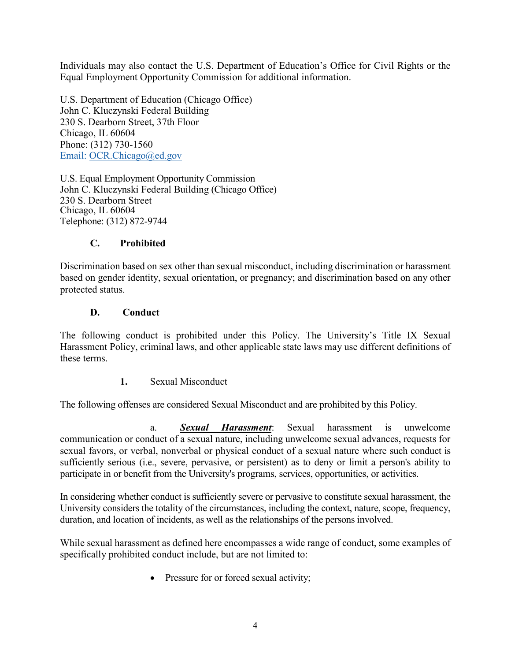Individuals may also contact the U.S. Department of Education's Office for Civil Rights or the Equal Employment Opportunity Commission for additional information.

U.S. Department of Education (Chicago Office) John C. Kluczynski Federal Building 230 S. Dearborn Street, 37th Floor Chicago, IL 60604 Phone: (312) 730-1560 Email: OCR.Chicago@ed.gov

U.S. Equal Employment Opportunity Commission John C. Kluczynski Federal Building (Chicago Office) 230 S. Dearborn Street Chicago, IL 60604 Telephone: (312) 872-9744

### **C. Prohibited**

<span id="page-6-0"></span>Discrimination based on sex other than sexual misconduct, including discrimination or harassment based on gender identity, sexual orientation, or pregnancy; and discrimination based on any other protected status.

#### <span id="page-6-1"></span>**D. Conduct**

The following conduct is prohibited under this Policy. The University's Title IX Sexual Harassment Policy, criminal laws, and other applicable state laws may use different definitions of these terms.

**1.** Sexual Misconduct

<span id="page-6-2"></span>The following offenses are considered Sexual Misconduct and are prohibited by this Policy.

a. *Sexual Harassment*: Sexual harassment is unwelcome communication or conduct of a sexual nature, including unwelcome sexual advances, requests for sexual favors, or verbal, nonverbal or physical conduct of a sexual nature where such conduct is sufficiently serious (i.e., severe, pervasive, or persistent) as to deny or limit a person's ability to participate in or benefit from the University's programs, services, opportunities, or activities.

In considering whether conduct is sufficiently severe or pervasive to constitute sexual harassment, the University considers the totality of the circumstances, including the context, nature, scope, frequency, duration, and location of incidents, as well as the relationships of the persons involved.

While sexual harassment as defined here encompasses a wide range of conduct, some examples of specifically prohibited conduct include, but are not limited to:

• Pressure for or forced sexual activity;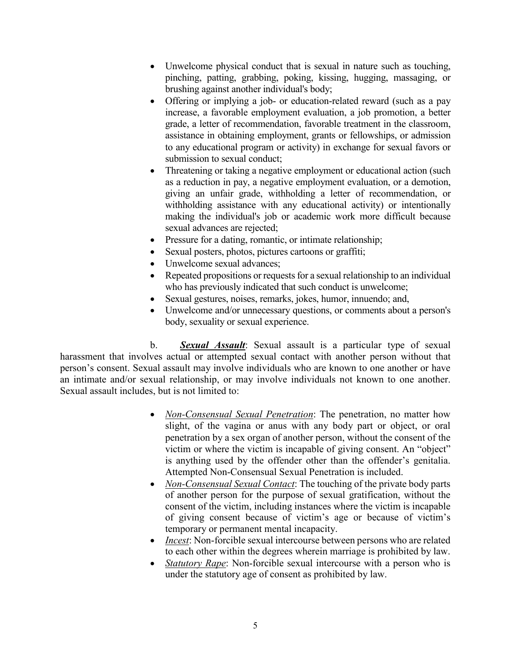- Unwelcome physical conduct that is sexual in nature such as touching, pinching, patting, grabbing, poking, kissing, hugging, massaging, or brushing against another individual's body;
- Offering or implying a job- or education-related reward (such as a pay increase, a favorable employment evaluation, a job promotion, a better grade, a letter of recommendation, favorable treatment in the classroom, assistance in obtaining employment, grants or fellowships, or admission to any educational program or activity) in exchange for sexual favors or submission to sexual conduct;
- Threatening or taking a negative employment or educational action (such as a reduction in pay, a negative employment evaluation, or a demotion, giving an unfair grade, withholding a letter of recommendation, or withholding assistance with any educational activity) or intentionally making the individual's job or academic work more difficult because sexual advances are rejected;
- Pressure for a dating, romantic, or intimate relationship;
- Sexual posters, photos, pictures cartoons or graffiti;
- Unwelcome sexual advances:
- Repeated propositions or requests for a sexual relationship to an individual who has previously indicated that such conduct is unwelcome;
- Sexual gestures, noises, remarks, jokes, humor, innuendo; and,
- Unwelcome and/or unnecessary questions, or comments about a person's body, sexuality or sexual experience.

b. *Sexual Assault*: Sexual assault is a particular type of sexual harassment that involves actual or attempted sexual contact with another person without that person's consent. Sexual assault may involve individuals who are known to one another or have an intimate and/or sexual relationship, or may involve individuals not known to one another. Sexual assault includes, but is not limited to:

- *Non-Consensual Sexual Penetration*: The penetration, no matter how slight, of the vagina or anus with any body part or object, or oral penetration by a sex organ of another person, without the consent of the victim or where the victim is incapable of giving consent. An "object" is anything used by the offender other than the offender's genitalia. Attempted Non-Consensual Sexual Penetration is included.
- *Non-Consensual Sexual Contact*: The touching of the private body parts of another person for the purpose of sexual gratification, without the consent of the victim, including instances where the victim is incapable of giving consent because of victim's age or because of victim's temporary or permanent mental incapacity.
- *Incest*: Non-forcible sexual intercourse between persons who are related to each other within the degrees wherein marriage is prohibited by law.
- *Statutory Rape*: Non-forcible sexual intercourse with a person who is under the statutory age of consent as prohibited by law.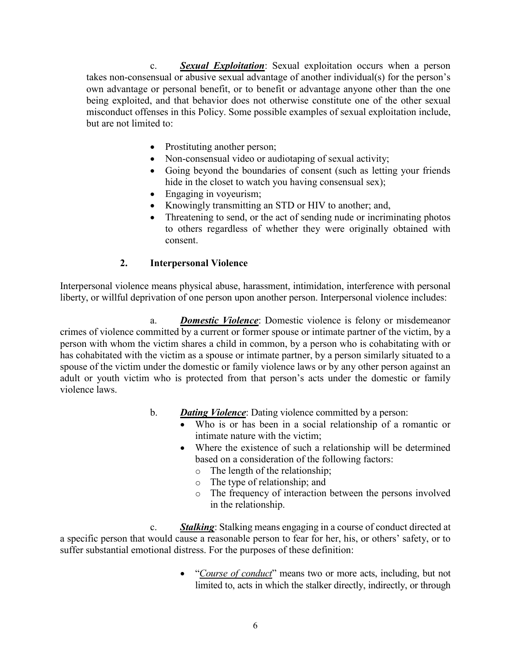c. *Sexual Exploitation*: Sexual exploitation occurs when a person takes non-consensual or abusive sexual advantage of another individual(s) for the person's own advantage or personal benefit, or to benefit or advantage anyone other than the one being exploited, and that behavior does not otherwise constitute one of the other sexual misconduct offenses in this Policy. Some possible examples of sexual exploitation include, but are not limited to:

- Prostituting another person;
- Non-consensual video or audiotaping of sexual activity;
- Going beyond the boundaries of consent (such as letting your friends hide in the closet to watch you having consensual sex);
- Engaging in voyeurism;
- Knowingly transmitting an STD or HIV to another; and,
- Threatening to send, or the act of sending nude or incriminating photos to others regardless of whether they were originally obtained with consent.

### **2. Interpersonal Violence**

<span id="page-8-0"></span>Interpersonal violence means physical abuse, harassment, intimidation, interference with personal liberty, or willful deprivation of one person upon another person. Interpersonal violence includes:

a. *Domestic Violence*: Domestic violence is felony or misdemeanor crimes of violence committed by a current or former spouse or intimate partner of the victim, by a person with whom the victim shares a child in common, by a person who is cohabitating with or has cohabitated with the victim as a spouse or intimate partner, by a person similarly situated to a spouse of the victim under the domestic or family violence laws or by any other person against an adult or youth victim who is protected from that person's acts under the domestic or family violence laws.

- b. *Dating Violence*: Dating violence committed by a person:
	- Who is or has been in a social relationship of a romantic or intimate nature with the victim;
	- Where the existence of such a relationship will be determined based on a consideration of the following factors:
		- o The length of the relationship;
		- o The type of relationship; and
		- o The frequency of interaction between the persons involved in the relationship.

c. *Stalking*: Stalking means engaging in a course of conduct directed at a specific person that would cause a reasonable person to fear for her, his, or others' safety, or to suffer substantial emotional distress. For the purposes of these definition:

> • "*Course of conduct*" means two or more acts, including, but not limited to, acts in which the stalker directly, indirectly, or through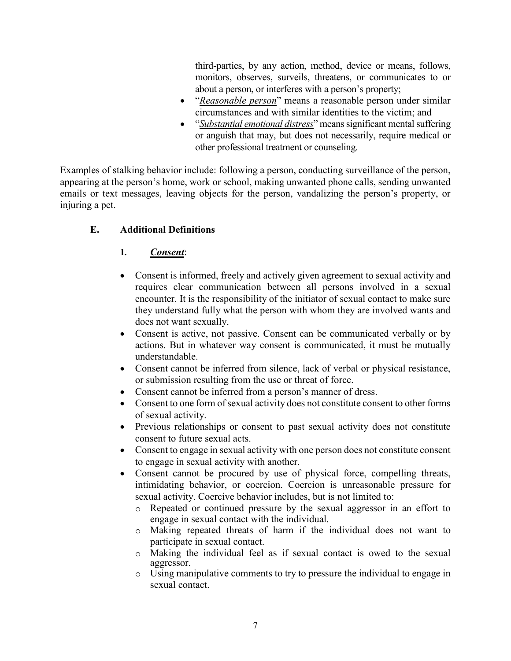third-parties, by any action, method, device or means, follows, monitors, observes, surveils, threatens, or communicates to or about a person, or interferes with a person's property;

- "*Reasonable person*" means a reasonable person under similar circumstances and with similar identities to the victim; and
- "*Substantial emotional distress*" means significant mental suffering or anguish that may, but does not necessarily, require medical or other professional treatment or counseling.

Examples of stalking behavior include: following a person, conducting surveillance of the person, appearing at the person's home, work or school, making unwanted phone calls, sending unwanted emails or text messages, leaving objects for the person, vandalizing the person's property, or injuring a pet.

# <span id="page-9-0"></span>**E. Additional Definitions**

### **1.** *Consent*:

- Consent is informed, freely and actively given agreement to sexual activity and requires clear communication between all persons involved in a sexual encounter. It is the responsibility of the initiator of sexual contact to make sure they understand fully what the person with whom they are involved wants and does not want sexually.
- Consent is active, not passive. Consent can be communicated verbally or by actions. But in whatever way consent is communicated, it must be mutually understandable.
- Consent cannot be inferred from silence, lack of verbal or physical resistance, or submission resulting from the use or threat of force.
- Consent cannot be inferred from a person's manner of dress.
- Consent to one form of sexual activity does not constitute consent to other forms of sexual activity.
- Previous relationships or consent to past sexual activity does not constitute consent to future sexual acts.
- Consent to engage in sexual activity with one person does not constitute consent to engage in sexual activity with another.
- Consent cannot be procured by use of physical force, compelling threats, intimidating behavior, or coercion. Coercion is unreasonable pressure for sexual activity. Coercive behavior includes, but is not limited to:
	- o Repeated or continued pressure by the sexual aggressor in an effort to engage in sexual contact with the individual.
	- o Making repeated threats of harm if the individual does not want to participate in sexual contact.
	- o Making the individual feel as if sexual contact is owed to the sexual aggressor.
	- o Using manipulative comments to try to pressure the individual to engage in sexual contact.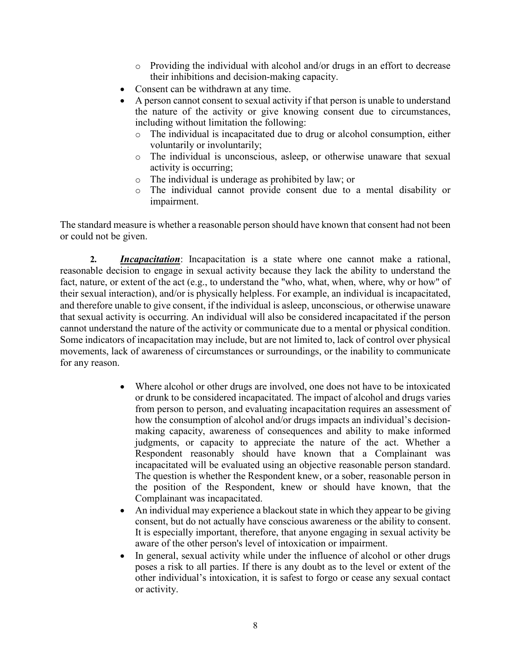- $\circ$  Providing the individual with alcohol and/or drugs in an effort to decrease their inhibitions and decision-making capacity.
- Consent can be withdrawn at any time.
- A person cannot consent to sexual activity if that person is unable to understand the nature of the activity or give knowing consent due to circumstances, including without limitation the following:
	- o The individual is incapacitated due to drug or alcohol consumption, either voluntarily or involuntarily;
	- o The individual is unconscious, asleep, or otherwise unaware that sexual activity is occurring;
	- o The individual is underage as prohibited by law; or
	- o The individual cannot provide consent due to a mental disability or impairment.

The standard measure is whether a reasonable person should have known that consent had not been or could not be given.

**2.** *Incapacitation*: Incapacitation is a state where one cannot make a rational, reasonable decision to engage in sexual activity because they lack the ability to understand the fact, nature, or extent of the act (e.g., to understand the "who, what, when, where, why or how" of their sexual interaction), and/or is physically helpless. For example, an individual is incapacitated, and therefore unable to give consent, if the individual is asleep, unconscious, or otherwise unaware that sexual activity is occurring. An individual will also be considered incapacitated if the person cannot understand the nature of the activity or communicate due to a mental or physical condition. Some indicators of incapacitation may include, but are not limited to, lack of control over physical movements, lack of awareness of circumstances or surroundings, or the inability to communicate for any reason.

- Where alcohol or other drugs are involved, one does not have to be intoxicated or drunk to be considered incapacitated. The impact of alcohol and drugs varies from person to person, and evaluating incapacitation requires an assessment of how the consumption of alcohol and/or drugs impacts an individual's decisionmaking capacity, awareness of consequences and ability to make informed judgments, or capacity to appreciate the nature of the act. Whether a Respondent reasonably should have known that a Complainant was incapacitated will be evaluated using an objective reasonable person standard. The question is whether the Respondent knew, or a sober, reasonable person in the position of the Respondent, knew or should have known, that the Complainant was incapacitated.
- An individual may experience a blackout state in which they appear to be giving consent, but do not actually have conscious awareness or the ability to consent. It is especially important, therefore, that anyone engaging in sexual activity be aware of the other person's level of intoxication or impairment.
- In general, sexual activity while under the influence of alcohol or other drugs poses a risk to all parties. If there is any doubt as to the level or extent of the other individual's intoxication, it is safest to forgo or cease any sexual contact or activity.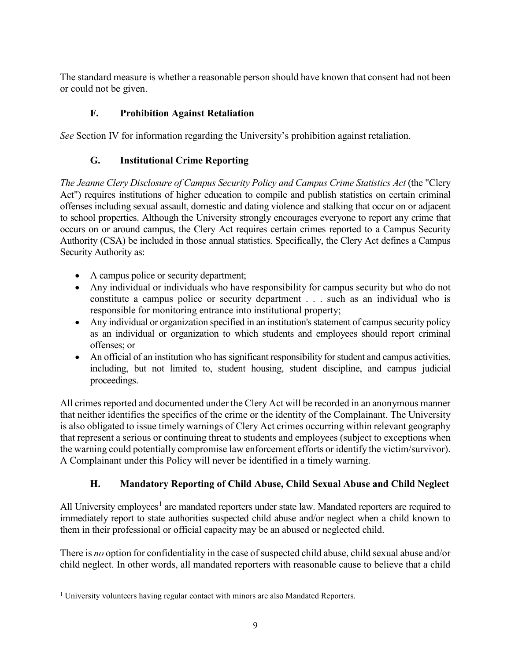The standard measure is whether a reasonable person should have known that consent had not been or could not be given.

# **F. Prohibition Against Retaliation**

<span id="page-11-1"></span><span id="page-11-0"></span>*See* Section IV for information regarding the University's prohibition against retaliation.

# **G. Institutional Crime Reporting**

*The Jeanne Clery Disclosure of Campus Security Policy and Campus Crime Statistics Act* (the "Clery Act") requires institutions of higher education to compile and publish statistics on certain criminal offenses including sexual assault, domestic and dating violence and stalking that occur on or adjacent to school properties. Although the University strongly encourages everyone to report any crime that occurs on or around campus, the Clery Act requires certain crimes reported to a Campus Security Authority (CSA) be included in those annual statistics. Specifically, the Clery Act defines a Campus Security Authority as:

- A campus police or security department;
- Any individual or individuals who have responsibility for campus security but who do not constitute a campus police or security department . . . such as an individual who is responsible for monitoring entrance into institutional property;
- Any individual or organization specified in an institution's statement of campus security policy as an individual or organization to which students and employees should report criminal offenses; or
- An official of an institution who has significant responsibility for student and campus activities, including, but not limited to, student housing, student discipline, and campus judicial proceedings.

All crimes reported and documented under the Clery Act will be recorded in an anonymous manner that neither identifies the specifics of the crime or the identity of the Complainant. The University is also obligated to issue timely warnings of Clery Act crimes occurring within relevant geography that represent a serious or continuing threat to students and employees (subject to exceptions when the warning could potentially compromise law enforcement efforts or identify the victim/survivor). A Complainant under this Policy will never be identified in a timely warning.

# **H. Mandatory Reporting of Child Abuse, Child Sexual Abuse and Child Neglect**

<span id="page-11-2"></span>All University employees<sup>[1](#page-11-3)</sup> are mandated reporters under state law. Mandated reporters are required to immediately report to state authorities suspected child abuse and/or neglect when a child known to them in their professional or official capacity may be an abused or neglected child.

There is *no* option for confidentiality in the case of suspected child abuse, child sexual abuse and/or child neglect. In other words, all mandated reporters with reasonable cause to believe that a child

<span id="page-11-3"></span><sup>&</sup>lt;sup>1</sup> University volunteers having regular contact with minors are also Mandated Reporters.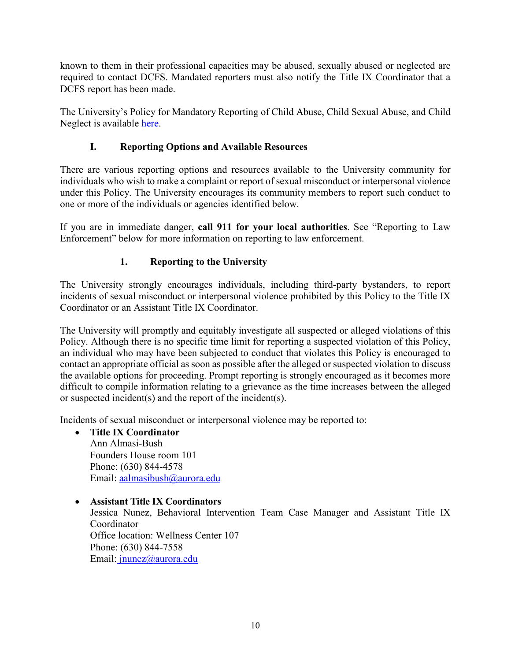known to them in their professional capacities may be abused, sexually abused or neglected are required to contact DCFS. Mandated reporters must also notify the Title IX Coordinator that a DCFS report has been made.

The University's Policy for Mandatory Reporting of Child Abuse, Child Sexual Abuse, and Child Neglect is available [here.](https://aurora.edu/documents/policies/mandated-reporter-policy.docx)

# **I. Reporting Options and Available Resources**

<span id="page-12-0"></span>There are various reporting options and resources available to the University community for individuals who wish to make a complaint or report of sexual misconduct or interpersonal violence under this Policy. The University encourages its community members to report such conduct to one or more of the individuals or agencies identified below.

If you are in immediate danger, **call 911 for your local authorities**. See "Reporting to Law Enforcement" below for more information on reporting to law enforcement.

# **1. Reporting to the University**

<span id="page-12-1"></span>The University strongly encourages individuals, including third-party bystanders, to report incidents of sexual misconduct or interpersonal violence prohibited by this Policy to the Title IX Coordinator or an Assistant Title IX Coordinator.

The University will promptly and equitably investigate all suspected or alleged violations of this Policy. Although there is no specific time limit for reporting a suspected violation of this Policy, an individual who may have been subjected to conduct that violates this Policy is encouraged to contact an appropriate official as soon as possible after the alleged or suspected violation to discuss the available options for proceeding. Prompt reporting is strongly encouraged as it becomes more difficult to compile information relating to a grievance as the time increases between the alleged or suspected incident(s) and the report of the incident(s).

Incidents of sexual misconduct or interpersonal violence may be reported to:

- **Title IX Coordinator**  Ann Almasi-Bush Founders House room 101 Phone: (630) 844-4578 Email: [aalmasibush@aurora.edu](mailto:aalmasibush@aurora.edu)
- **Assistant Title IX Coordinators** Jessica Nunez, Behavioral Intervention Team Case Manager and Assistant Title IX Coordinator Office location: Wellness Center 107 Phone: (630) 844-7558 Email[: jnunez@aurora.edu](mailto:%20jnunez@aurora.edu)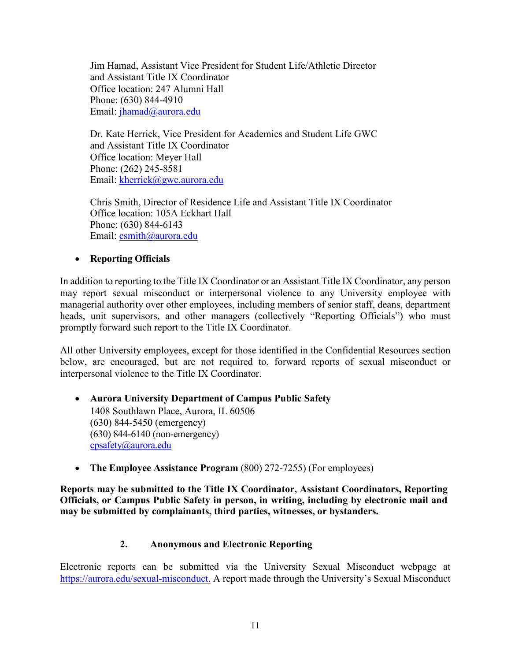Jim Hamad, Assistant Vice President for Student Life/Athletic Director and Assistant Title IX Coordinator Office location: 247 Alumni Hall Phone: (630) 844-4910 Email: jhamad@aurora.edu

Dr. Kate Herrick, Vice President for Academics and Student Life GWC and Assistant Title IX Coordinator Office location: Meyer Hall Phone: (262) 245-8581 Email: kherrick@gwc.aurora.edu

Chris Smith, Director of Residence Life and Assistant Title IX Coordinator Office location: 105A Eckhart Hall Phone: (630) 844-6143 Email: [csmith@aurora.edu](mailto:csmith@aurora.edu) 

### • **Reporting Officials**

In addition to reporting to the Title IX Coordinator or an Assistant Title IX Coordinator, any person may report sexual misconduct or interpersonal violence to any University employee with managerial authority over other employees, including members of senior staff, deans, department heads, unit supervisors, and other managers (collectively "Reporting Officials") who must promptly forward such report to the Title IX Coordinator.

All other University employees, except for those identified in the Confidential Resources section below, are encouraged, but are not required to, forward reports of sexual misconduct or interpersonal violence to the Title IX Coordinator.

#### • **Aurora University Department of Campus Public Safety** 1408 Southlawn Place, Aurora, IL 60506 (630) 844-5450 (emergency) (630) 844-6140 (non-emergency) [cpsafety@aurora.edu](mailto:cpsafety@aurora.edu)

• **The Employee Assistance Program** (800) 272-7255) (For employees)

**Reports may be submitted to the Title IX Coordinator, Assistant Coordinators, Reporting Officials, or Campus Public Safety in person, in writing, including by electronic mail and may be submitted by complainants, third parties, witnesses, or bystanders.** 

#### **2. Anonymous and Electronic Reporting**

<span id="page-13-0"></span>Electronic reports can be submitted via the University Sexual Misconduct webpage at [https://aurora.edu/sexual-misconduct.](https://aurora.edu/sexual-misconduct) A report made through the University's Sexual Misconduct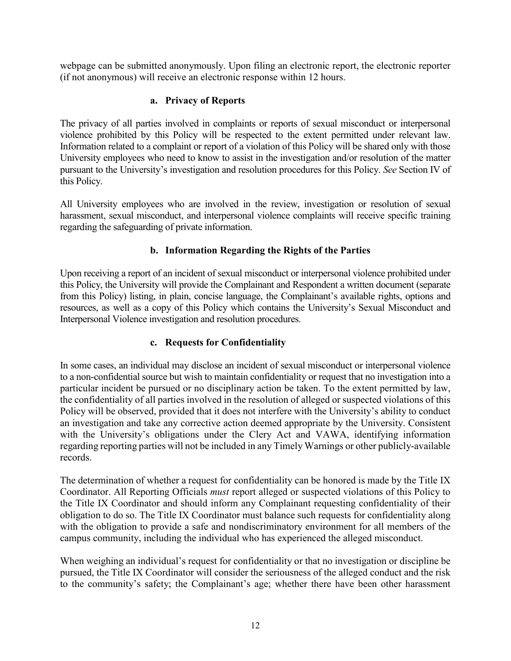webpage can be submitted anonymously. Upon filing an electronic report, the electronic reporter (if not anonymous) will receive an electronic response within 12 hours.

#### **a. Privacy of Reports**

The privacy of all parties involved in complaints or reports of sexual misconduct or interpersonal violence prohibited by this Policy will be respected to the extent permitted under relevant law. Information related to a complaint or report of a violation of this Policy will be shared only with those University employees who need to know to assist in the investigation and/or resolution of the matter pursuant to the University's investigation and resolution procedures for this Policy. *See* Section IV of this Policy.

All University employees who are involved in the review, investigation or resolution of sexual harassment, sexual misconduct, and interpersonal violence complaints will receive specific training regarding the safeguarding of private information.

### **b. Information Regarding the Rights of the Parties**

Upon receiving a report of an incident of sexual misconduct or interpersonal violence prohibited under this Policy, the University will provide the Complainant and Respondent a written document (separate from this Policy) listing, in plain, concise language, the Complainant's available rights, options and resources, as well as a copy of this Policy which contains the University's Sexual Misconduct and Interpersonal Violence investigation and resolution procedures.

#### **c. Requests for Confidentiality**

In some cases, an individual may disclose an incident of sexual misconduct or interpersonal violence to a non-confidential source but wish to maintain confidentiality or request that no investigation into a particular incident be pursued or no disciplinary action be taken. To the extent permitted by law, the confidentiality of all parties involved in the resolution of alleged or suspected violations of this Policy will be observed, provided that it does not interfere with the University's ability to conduct an investigation and take any corrective action deemed appropriate by the University. Consistent with the University's obligations under the Clery Act and VAWA, identifying information regarding reporting parties will not be included in any Timely Warnings or other publicly-available records.

The determination of whether a request for confidentiality can be honored is made by the Title IX Coordinator. All Reporting Officials *must* report alleged or suspected violations of this Policy to the Title IX Coordinator and should inform any Complainant requesting confidentiality of their obligation to do so. The Title IX Coordinator must balance such requests for confidentiality along with the obligation to provide a safe and nondiscriminatory environment for all members of the campus community, including the individual who has experienced the alleged misconduct.

When weighing an individual's request for confidentiality or that no investigation or discipline be pursued, the Title IX Coordinator will consider the seriousness of the alleged conduct and the risk to the community's safety; the Complainant's age; whether there have been other harassment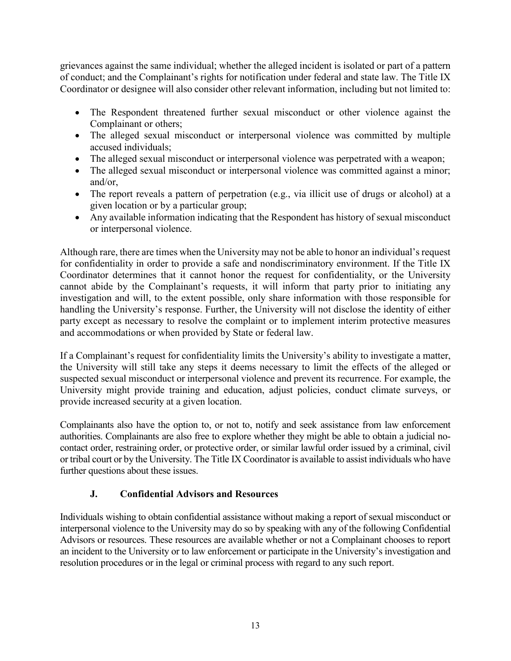grievances against the same individual; whether the alleged incident is isolated or part of a pattern of conduct; and the Complainant's rights for notification under federal and state law. The Title IX Coordinator or designee will also consider other relevant information, including but not limited to:

- The Respondent threatened further sexual misconduct or other violence against the Complainant or others;
- The alleged sexual misconduct or interpersonal violence was committed by multiple accused individuals;
- The alleged sexual misconduct or interpersonal violence was perpetrated with a weapon;
- The alleged sexual misconduct or interpersonal violence was committed against a minor; and/or,
- The report reveals a pattern of perpetration (e.g., via illicit use of drugs or alcohol) at a given location or by a particular group;
- Any available information indicating that the Respondent has history of sexual misconduct or interpersonal violence.

Although rare, there are times when the University may not be able to honor an individual's request for confidentiality in order to provide a safe and nondiscriminatory environment. If the Title IX Coordinator determines that it cannot honor the request for confidentiality, or the University cannot abide by the Complainant's requests, it will inform that party prior to initiating any investigation and will, to the extent possible, only share information with those responsible for handling the University's response. Further, the University will not disclose the identity of either party except as necessary to resolve the complaint or to implement interim protective measures and accommodations or when provided by State or federal law.

If a Complainant's request for confidentiality limits the University's ability to investigate a matter, the University will still take any steps it deems necessary to limit the effects of the alleged or suspected sexual misconduct or interpersonal violence and prevent its recurrence. For example, the University might provide training and education, adjust policies, conduct climate surveys, or provide increased security at a given location.

Complainants also have the option to, or not to, notify and seek assistance from law enforcement authorities. Complainants are also free to explore whether they might be able to obtain a judicial nocontact order, restraining order, or protective order, or similar lawful order issued by a criminal, civil or tribal court or by the University. The Title IX Coordinator is available to assist individuals who have further questions about these issues.

# **J. Confidential Advisors and Resources**

<span id="page-15-0"></span>Individuals wishing to obtain confidential assistance without making a report of sexual misconduct or interpersonal violence to the University may do so by speaking with any of the following Confidential Advisors or resources. These resources are available whether or not a Complainant chooses to report an incident to the University or to law enforcement or participate in the University's investigation and resolution procedures or in the legal or criminal process with regard to any such report.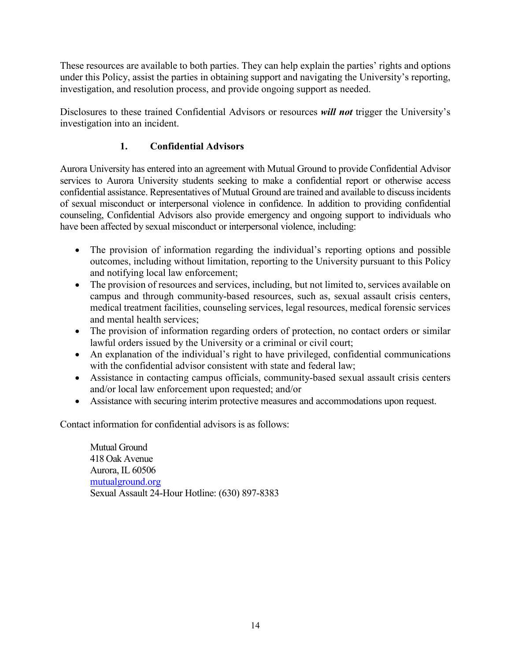These resources are available to both parties. They can help explain the parties' rights and options under this Policy, assist the parties in obtaining support and navigating the University's reporting, investigation, and resolution process, and provide ongoing support as needed.

<span id="page-16-0"></span>Disclosures to these trained Confidential Advisors or resources *will not* trigger the University's investigation into an incident.

# **1. Confidential Advisors**

Aurora University has entered into an agreement with Mutual Ground to provide Confidential Advisor services to Aurora University students seeking to make a confidential report or otherwise access confidential assistance. Representatives of Mutual Ground are trained and available to discuss incidents of sexual misconduct or interpersonal violence in confidence. In addition to providing confidential counseling, Confidential Advisors also provide emergency and ongoing support to individuals who have been affected by sexual misconduct or interpersonal violence, including:

- The provision of information regarding the individual's reporting options and possible outcomes, including without limitation, reporting to the University pursuant to this Policy and notifying local law enforcement;
- The provision of resources and services, including, but not limited to, services available on campus and through community-based resources, such as, sexual assault crisis centers, medical treatment facilities, counseling services, legal resources, medical forensic services and mental health services;
- The provision of information regarding orders of protection, no contact orders or similar lawful orders issued by the University or a criminal or civil court;
- An explanation of the individual's right to have privileged, confidential communications with the confidential advisor consistent with state and federal law;
- Assistance in contacting campus officials, community-based sexual assault crisis centers and/or local law enforcement upon requested; and/or
- Assistance with securing interim protective measures and accommodations upon request.

Contact information for confidential advisors is as follows:

Mutual Ground 418 Oak Avenue Aurora, IL 60506 [mutualground.org](http://mutualground.org/) Sexual Assault 24-Hour Hotline: (630) 897-8383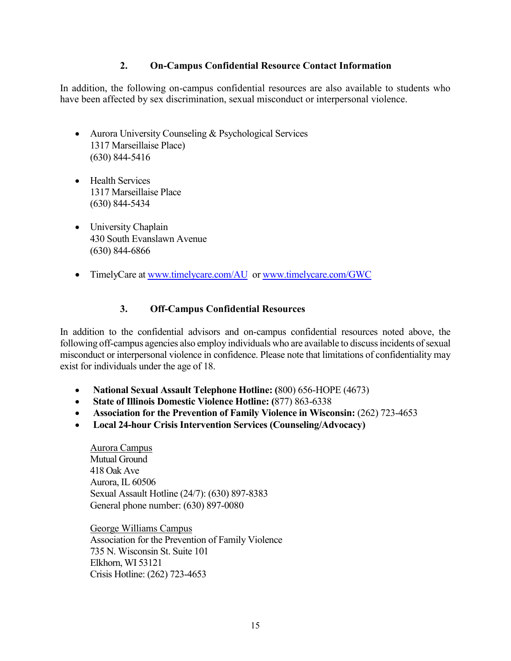#### **2. On-Campus Confidential Resource Contact Information**

<span id="page-17-0"></span>In addition, the following on-campus confidential resources are also available to students who have been affected by sex discrimination, sexual misconduct or interpersonal violence.

- Aurora University Counseling & Psychological Services 1317 Marseillaise Place) (630) 844-5416
- Health Services 1317 Marseillaise Place (630) 844-5434
- University Chaplain 430 South Evanslawn Avenue (630) 844-6866
- <span id="page-17-1"></span>• TimelyCare at [www.timelycare.com/AU](http://www.timelycare.com/AU) or [www.timelycare.com/GWC](http://www.timelycare.com/GWC)

#### **3. Off-Campus Confidential Resources**

In addition to the confidential advisors and on-campus confidential resources noted above, the following off-campus agencies also employ individuals who are available to discuss incidents of sexual misconduct or interpersonal violence in confidence. Please note that limitations of confidentiality may exist for individuals under the age of 18.

- **National Sexual Assault Telephone Hotline: (**800) 656-HOPE (4673)
- **State of Illinois Domestic Violence Hotline: (**877) 863-6338
- **Association for the Prevention of Family Violence in Wisconsin: (262) 723-4653**
- **Local 24-hour Crisis Intervention Services (Counseling/Advocacy)**

Aurora Campus Mutual Ground 418 Oak Ave Aurora, IL 60506 Sexual Assault Hotline (24/7): (630) 897-8383 General phone number: (630) 897-0080

George Williams Campus Association for the Prevention of Family Violence 735 N. Wisconsin St. Suite 101 Elkhorn, WI 53121 Crisis Hotline: (262) 723-4653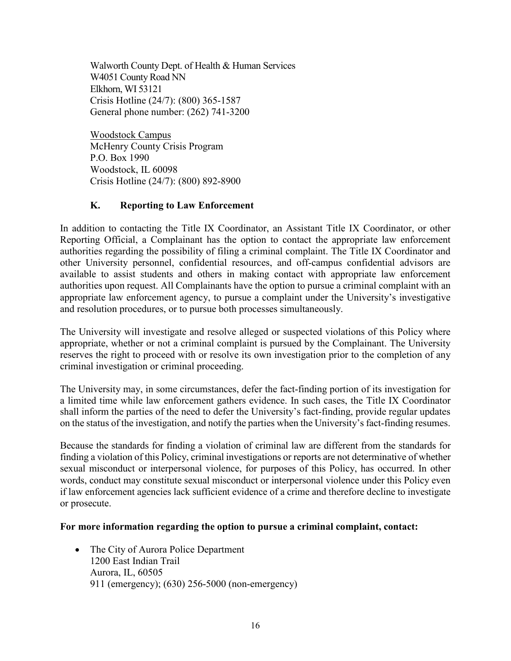Walworth County Dept. of Health & Human Services W4051 County Road NN Elkhorn, WI 53121 Crisis Hotline (24/7): (800) 365-1587 General phone number: (262) 741-3200

Woodstock Campus McHenry County Crisis Program P.O. Box 1990 Woodstock, IL 60098 Crisis Hotline (24/7): (800) 892-8900

### **K. Reporting to Law Enforcement**

<span id="page-18-0"></span>In addition to contacting the Title IX Coordinator, an Assistant Title IX Coordinator, or other Reporting Official, a Complainant has the option to contact the appropriate law enforcement authorities regarding the possibility of filing a criminal complaint. The Title IX Coordinator and other University personnel, confidential resources, and off-campus confidential advisors are available to assist students and others in making contact with appropriate law enforcement authorities upon request. All Complainants have the option to pursue a criminal complaint with an appropriate law enforcement agency, to pursue a complaint under the University's investigative and resolution procedures, or to pursue both processes simultaneously.

The University will investigate and resolve alleged or suspected violations of this Policy where appropriate, whether or not a criminal complaint is pursued by the Complainant. The University reserves the right to proceed with or resolve its own investigation prior to the completion of any criminal investigation or criminal proceeding.

The University may, in some circumstances, defer the fact-finding portion of its investigation for a limited time while law enforcement gathers evidence. In such cases, the Title IX Coordinator shall inform the parties of the need to defer the University's fact-finding, provide regular updates on the status of the investigation, and notify the parties when the University's fact-finding resumes.

Because the standards for finding a violation of criminal law are different from the standards for finding a violation of this Policy, criminal investigations or reports are not determinative of whether sexual misconduct or interpersonal violence, for purposes of this Policy, has occurred. In other words, conduct may constitute sexual misconduct or interpersonal violence under this Policy even if law enforcement agencies lack sufficient evidence of a crime and therefore decline to investigate or prosecute.

#### **For more information regarding the option to pursue a criminal complaint, contact:**

• The City of Aurora Police Department 1200 East Indian Trail Aurora, IL, 60505 911 (emergency); (630) 256-5000 (non-emergency)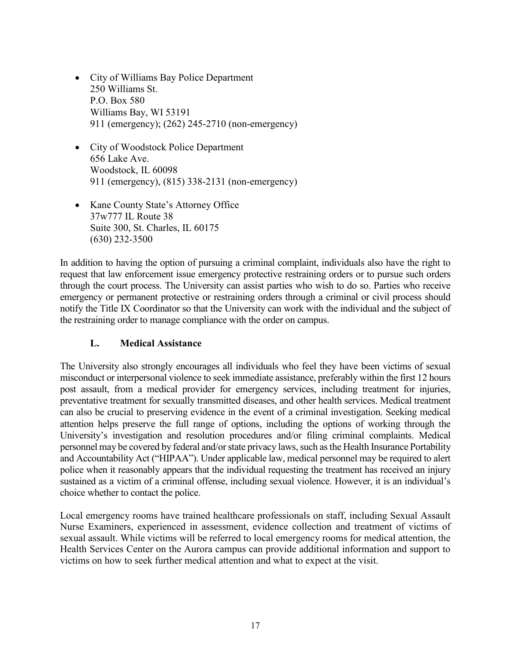- City of Williams Bay Police Department 250 Williams St. P.O. Box 580 Williams Bay, WI 53191 911 (emergency); (262) 245-2710 (non-emergency)
- City of Woodstock Police Department 656 Lake Ave. Woodstock, IL 60098 911 (emergency), (815) 338-2131 (non-emergency)
- Kane County State's Attorney Office 37w777 IL Route 38 Suite 300, St. Charles, IL 60175 (630) 232-3500

In addition to having the option of pursuing a criminal complaint, individuals also have the right to request that law enforcement issue emergency protective restraining orders or to pursue such orders through the court process. The University can assist parties who wish to do so. Parties who receive emergency or permanent protective or restraining orders through a criminal or civil process should notify the Title IX Coordinator so that the University can work with the individual and the subject of the restraining order to manage compliance with the order on campus.

# **L. Medical Assistance**

<span id="page-19-0"></span>The University also strongly encourages all individuals who feel they have been victims of sexual misconduct or interpersonal violence to seek immediate assistance, preferably within the first 12 hours post assault, from a medical provider for emergency services, including treatment for injuries, preventative treatment for sexually transmitted diseases, and other health services. Medical treatment can also be crucial to preserving evidence in the event of a criminal investigation. Seeking medical attention helps preserve the full range of options, including the options of working through the University's investigation and resolution procedures and/or filing criminal complaints. Medical personnel may be covered by federal and/or state privacy laws, such as the Health Insurance Portability and Accountability Act ("HIPAA"). Under applicable law, medical personnel may be required to alert police when it reasonably appears that the individual requesting the treatment has received an injury sustained as a victim of a criminal offense, including sexual violence. However, it is an individual's choice whether to contact the police.

Local emergency rooms have trained healthcare professionals on staff, including Sexual Assault Nurse Examiners, experienced in assessment, evidence collection and treatment of victims of sexual assault. While victims will be referred to local emergency rooms for medical attention, the Health Services Center on the Aurora campus can provide additional information and support to victims on how to seek further medical attention and what to expect at the visit.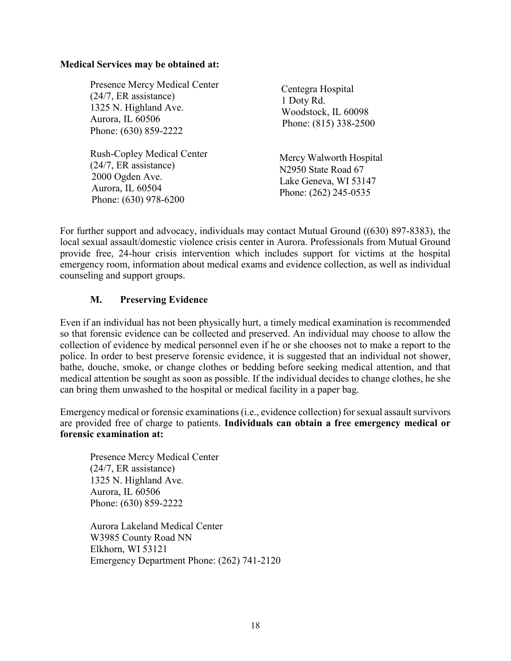#### **Medical Services may be obtained at:**

Presence Mercy Medical Center (24/7, ER assistance) 1325 N. Highland Ave. Aurora, IL 60506 Phone: (630) 859-2222

Rush-Copley Medical Center (24/7, ER assistance) 2000 Ogden Ave. Aurora, IL 60504 Phone: (630) 978-6200

Centegra Hospital 1 Doty Rd. Woodstock, IL 60098 Phone: (815) 338-2500

 Mercy Walworth Hospital N2950 State Road 67 Lake Geneva, WI 53147 Phone: (262) 245-0535

For further support and advocacy, individuals may contact Mutual Ground ((630) 897-8383), the local sexual assault/domestic violence crisis center in Aurora. Professionals from Mutual Ground provide free, 24-hour crisis intervention which includes support for victims at the hospital emergency room, information about medical exams and evidence collection, as well as individual counseling and support groups.

### **M. Preserving Evidence**

<span id="page-20-0"></span>Even if an individual has not been physically hurt, a timely medical examination is recommended so that forensic evidence can be collected and preserved. An individual may choose to allow the collection of evidence by medical personnel even if he or she chooses not to make a report to the police. In order to best preserve forensic evidence, it is suggested that an individual not shower, bathe, douche, smoke, or change clothes or bedding before seeking medical attention, and that medical attention be sought as soon as possible. If the individual decides to change clothes, he she can bring them unwashed to the hospital or medical facility in a paper bag.

Emergency medical or forensic examinations (i.e., evidence collection) for sexual assault survivors are provided free of charge to patients. **Individuals can obtain a free emergency medical or forensic examination at:**

Presence Mercy Medical Center (24/7, ER assistance) 1325 N. Highland Ave. Aurora, IL 60506 Phone: (630) 859-2222

Aurora Lakeland Medical Center W3985 County Road NN Elkhorn, WI 53121 Emergency Department Phone: (262) 741-2120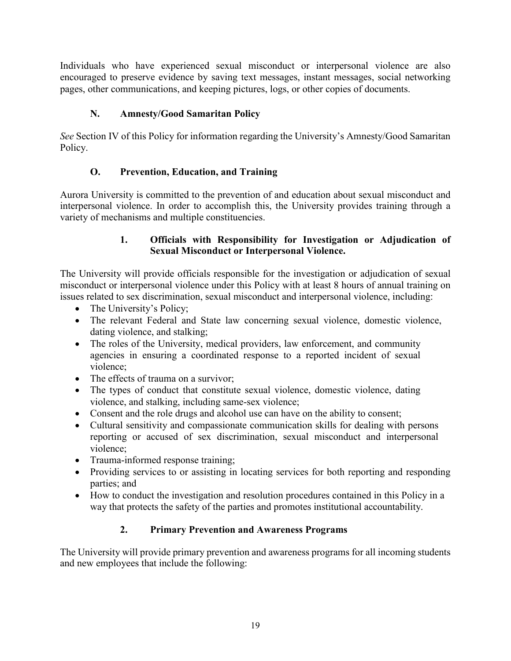Individuals who have experienced sexual misconduct or interpersonal violence are also encouraged to preserve evidence by saving text messages, instant messages, social networking pages, other communications, and keeping pictures, logs, or other copies of documents.

# **N. Amnesty/Good Samaritan Policy**

<span id="page-21-0"></span>*See* Section IV of this Policy for information regarding the University's Amnesty/Good Samaritan Policy.

# **O. Prevention, Education, and Training**

<span id="page-21-2"></span><span id="page-21-1"></span>Aurora University is committed to the prevention of and education about sexual misconduct and interpersonal violence. In order to accomplish this, the University provides training through a variety of mechanisms and multiple constituencies.

# **1. Officials with Responsibility for Investigation or Adjudication of Sexual Misconduct or Interpersonal Violence.**

The University will provide officials responsible for the investigation or adjudication of sexual misconduct or interpersonal violence under this Policy with at least 8 hours of annual training on issues related to sex discrimination, sexual misconduct and interpersonal violence, including:

- The University's Policy;
- The relevant Federal and State law concerning sexual violence, domestic violence, dating violence, and stalking;
- The roles of the University, medical providers, law enforcement, and community agencies in ensuring a coordinated response to a reported incident of sexual violence;
- The effects of trauma on a survivor:
- The types of conduct that constitute sexual violence, domestic violence, dating violence, and stalking, including same-sex violence;
- Consent and the role drugs and alcohol use can have on the ability to consent;
- Cultural sensitivity and compassionate communication skills for dealing with persons reporting or accused of sex discrimination, sexual misconduct and interpersonal violence;
- Trauma-informed response training;
- Providing services to or assisting in locating services for both reporting and responding parties; and
- <span id="page-21-3"></span>• How to conduct the investigation and resolution procedures contained in this Policy in a way that protects the safety of the parties and promotes institutional accountability.

# **2. Primary Prevention and Awareness Programs**

The University will provide primary prevention and awareness programs for all incoming students and new employees that include the following: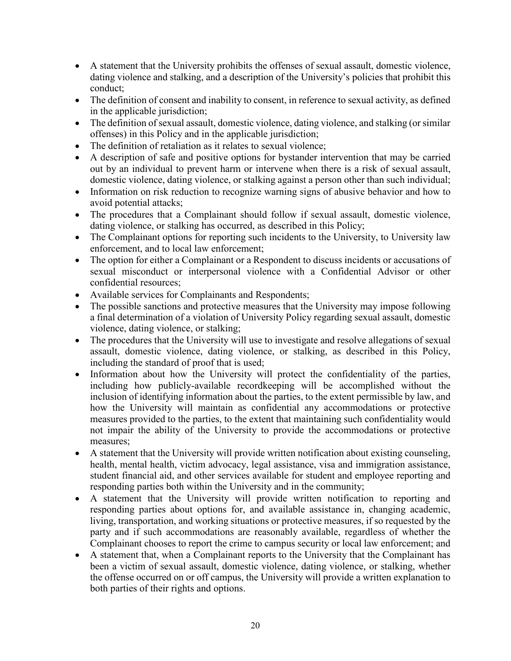- A statement that the University prohibits the offenses of sexual assault, domestic violence, dating violence and stalking, and a description of the University's policies that prohibit this conduct;
- The definition of consent and inability to consent, in reference to sexual activity, as defined in the applicable jurisdiction;
- The definition of sexual assault, domestic violence, dating violence, and stalking (or similar offenses) in this Policy and in the applicable jurisdiction;
- The definition of retaliation as it relates to sexual violence:
- A description of safe and positive options for bystander intervention that may be carried out by an individual to prevent harm or intervene when there is a risk of sexual assault, domestic violence, dating violence, or stalking against a person other than such individual;
- Information on risk reduction to recognize warning signs of abusive behavior and how to avoid potential attacks;
- The procedures that a Complainant should follow if sexual assault, domestic violence, dating violence, or stalking has occurred, as described in this Policy;
- The Complainant options for reporting such incidents to the University, to University law enforcement, and to local law enforcement;
- The option for either a Complainant or a Respondent to discuss incidents or accusations of sexual misconduct or interpersonal violence with a Confidential Advisor or other confidential resources;
- Available services for Complainants and Respondents;
- The possible sanctions and protective measures that the University may impose following a final determination of a violation of University Policy regarding sexual assault, domestic violence, dating violence, or stalking;
- The procedures that the University will use to investigate and resolve allegations of sexual assault, domestic violence, dating violence, or stalking, as described in this Policy, including the standard of proof that is used;
- Information about how the University will protect the confidentiality of the parties, including how publicly-available recordkeeping will be accomplished without the inclusion of identifying information about the parties, to the extent permissible by law, and how the University will maintain as confidential any accommodations or protective measures provided to the parties, to the extent that maintaining such confidentiality would not impair the ability of the University to provide the accommodations or protective measures;
- A statement that the University will provide written notification about existing counseling, health, mental health, victim advocacy, legal assistance, visa and immigration assistance, student financial aid, and other services available for student and employee reporting and responding parties both within the University and in the community;
- A statement that the University will provide written notification to reporting and responding parties about options for, and available assistance in, changing academic, living, transportation, and working situations or protective measures, if so requested by the party and if such accommodations are reasonably available, regardless of whether the Complainant chooses to report the crime to campus security or local law enforcement; and
- A statement that, when a Complainant reports to the University that the Complainant has been a victim of sexual assault, domestic violence, dating violence, or stalking, whether the offense occurred on or off campus, the University will provide a written explanation to both parties of their rights and options.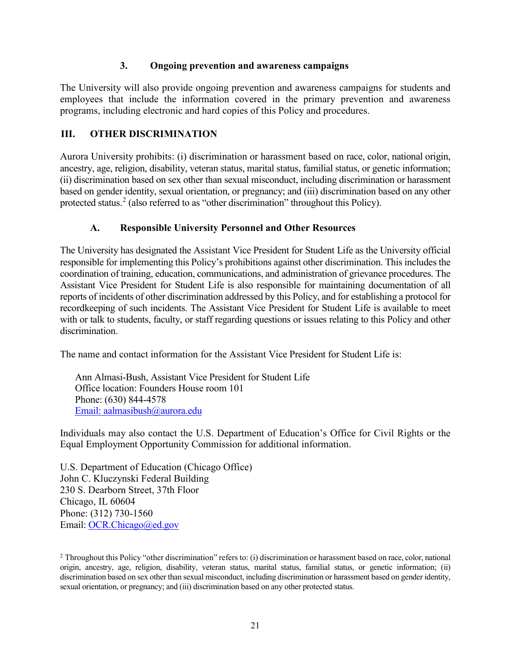#### **3. Ongoing prevention and awareness campaigns**

<span id="page-23-0"></span>The University will also provide ongoing prevention and awareness campaigns for students and employees that include the information covered in the primary prevention and awareness programs, including electronic and hard copies of this Policy and procedures.

# <span id="page-23-1"></span>**III. OTHER DISCRIMINATION**

Aurora University prohibits: (i) discrimination or harassment based on race, color, national origin, ancestry, age, religion, disability, veteran status, marital status, familial status, or genetic information; (ii) discrimination based on sex other than sexual misconduct, including discrimination or harassment based on gender identity, sexual orientation, or pregnancy; and (iii) discrimination based on any other protected status.<sup>[2](#page-23-3)</sup> (also referred to as "other discrimination" throughout this Policy).

# **A. Responsible University Personnel and Other Resources**

<span id="page-23-2"></span>The University has designated the Assistant Vice President for Student Life as the University official responsible for implementing this Policy's prohibitions against other discrimination. This includes the coordination of training, education, communications, and administration of grievance procedures. The Assistant Vice President for Student Life is also responsible for maintaining documentation of all reports of incidents of other discrimination addressed by this Policy, and for establishing a protocol for recordkeeping of such incidents. The Assistant Vice President for Student Life is available to meet with or talk to students, faculty, or staff regarding questions or issues relating to this Policy and other discrimination.

The name and contact information for the Assistant Vice President for Student Life is:

Ann Almasi-Bush, Assistant Vice President for Student Life Office location: Founders House room 101 Phone: (630) 844-4578 [Email: aa](mailto:Email:%20a)lmasibush@aurora.edu

Individuals may also contact the U.S. Department of Education's Office for Civil Rights or the Equal Employment Opportunity Commission for additional information.

U.S. Department of Education (Chicago Office) John C. Kluczynski Federal Building 230 S. Dearborn Street, 37th Floor Chicago, IL 60604 Phone: (312) 730-1560 Email: OCR.Chicago@ed.gov

<span id="page-23-3"></span><sup>&</sup>lt;sup>2</sup> Throughout this Policy "other discrimination" refers to: (i) discrimination or harassment based on race, color, national origin, ancestry, age, religion, disability, veteran status, marital status, familial status, or genetic information; (ii) discrimination based on sex other than sexual misconduct, including discrimination or harassment based on gender identity, sexual orientation, or pregnancy; and (iii) discrimination based on any other protected status.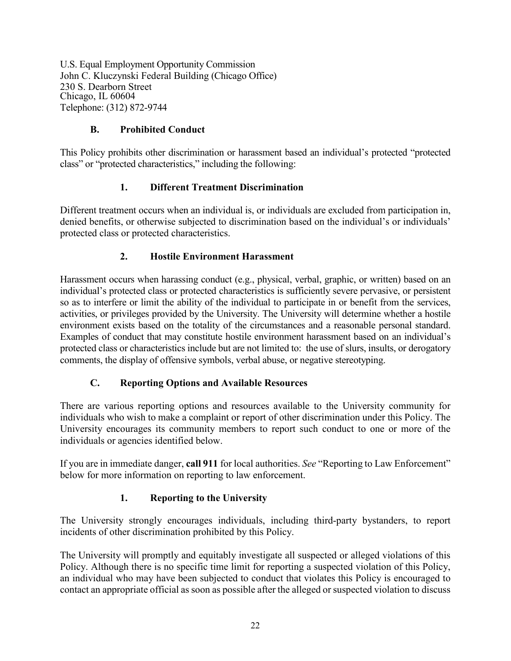U.S. Equal Employment Opportunity Commission John C. Kluczynski Federal Building (Chicago Office) 230 S. Dearborn Street Chicago, IL 60604 Telephone: (312) 872-9744

### **B. Prohibited Conduct**

<span id="page-24-0"></span>This Policy prohibits other discrimination or harassment based an individual's protected "protected class" or "protected characteristics," including the following:

### **1. Different Treatment Discrimination**

<span id="page-24-1"></span>Different treatment occurs when an individual is, or individuals are excluded from participation in, denied benefits, or otherwise subjected to discrimination based on the individual's or individuals' protected class or protected characteristics.

### **2. Hostile Environment Harassment**

<span id="page-24-2"></span>Harassment occurs when harassing conduct (e.g., physical, verbal, graphic, or written) based on an individual's protected class or protected characteristics is sufficiently severe pervasive, or persistent so as to interfere or limit the ability of the individual to participate in or benefit from the services, activities, or privileges provided by the University. The University will determine whether a hostile environment exists based on the totality of the circumstances and a reasonable personal standard. Examples of conduct that may constitute hostile environment harassment based on an individual's protected class or characteristics include but are not limited to: the use of slurs, insults, or derogatory comments, the display of offensive symbols, verbal abuse, or negative stereotyping.

#### **C. Reporting Options and Available Resources**

<span id="page-24-3"></span>There are various reporting options and resources available to the University community for individuals who wish to make a complaint or report of other discrimination under this Policy. The University encourages its community members to report such conduct to one or more of the individuals or agencies identified below.

<span id="page-24-4"></span>If you are in immediate danger, **call 911** for local authorities. *See* "Reporting to Law Enforcement" below for more information on reporting to law enforcement.

#### **1. Reporting to the University**

The University strongly encourages individuals, including third-party bystanders, to report incidents of other discrimination prohibited by this Policy.

The University will promptly and equitably investigate all suspected or alleged violations of this Policy. Although there is no specific time limit for reporting a suspected violation of this Policy, an individual who may have been subjected to conduct that violates this Policy is encouraged to contact an appropriate official as soon as possible after the alleged or suspected violation to discuss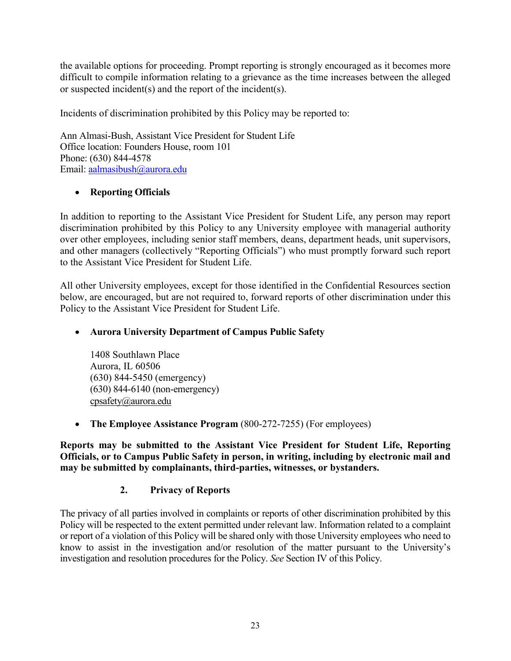the available options for proceeding. Prompt reporting is strongly encouraged as it becomes more difficult to compile information relating to a grievance as the time increases between the alleged or suspected incident(s) and the report of the incident(s).

Incidents of discrimination prohibited by this Policy may be reported to:

Ann Almasi-Bush, Assistant Vice President for Student Life Office location: Founders House, room 101 Phone: (630) 844-4578 Email: aalmasibush@aurora.edu

# • **Reporting Officials**

In addition to reporting to the Assistant Vice President for Student Life, any person may report discrimination prohibited by this Policy to any University employee with managerial authority over other employees, including senior staff members, deans, department heads, unit supervisors, and other managers (collectively "Reporting Officials") who must promptly forward such report to the Assistant Vice President for Student Life.

All other University employees, except for those identified in the Confidential Resources section below, are encouraged, but are not required to, forward reports of other discrimination under this Policy to the Assistant Vice President for Student Life.

# • **Aurora University Department of Campus Public Safety**

1408 Southlawn Place Aurora, IL 60506 (630) 844-5450 (emergency) (630) 844-6140 (non-emergency) [cpsafety@aurora.edu](mailto:cpsafety@aurora.edu) 

• **The Employee Assistance Program** (800-272-7255) (For employees)

<span id="page-25-0"></span>**Reports may be submitted to the Assistant Vice President for Student Life, Reporting Officials, or to Campus Public Safety in person, in writing, including by electronic mail and may be submitted by complainants, third-parties, witnesses, or bystanders.**

# **2. Privacy of Reports**

The privacy of all parties involved in complaints or reports of other discrimination prohibited by this Policy will be respected to the extent permitted under relevant law. Information related to a complaint or report of a violation of this Policy will be shared only with those University employees who need to know to assist in the investigation and/or resolution of the matter pursuant to the University's investigation and resolution procedures for the Policy. *See* Section IV of this Policy.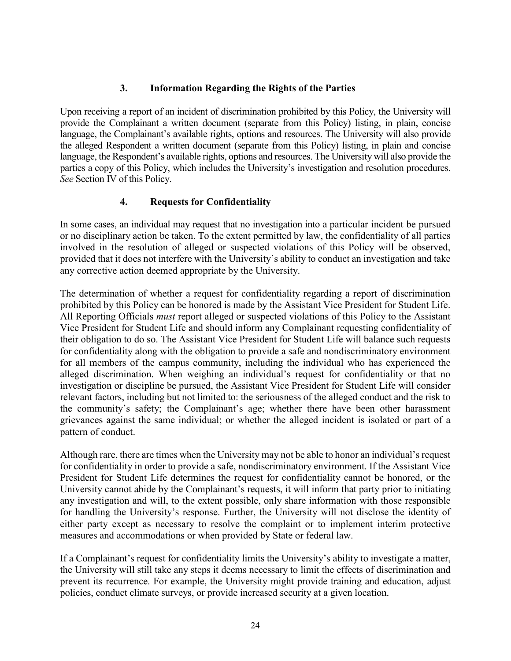#### **3. Information Regarding the Rights of the Parties**

<span id="page-26-0"></span>Upon receiving a report of an incident of discrimination prohibited by this Policy, the University will provide the Complainant a written document (separate from this Policy) listing, in plain, concise language, the Complainant's available rights, options and resources. The University will also provide the alleged Respondent a written document (separate from this Policy) listing, in plain and concise language, the Respondent's available rights, options and resources. The University will also provide the parties a copy of this Policy, which includes the University's investigation and resolution procedures. *See* Section IV of this Policy.

### **4. Requests for Confidentiality**

<span id="page-26-1"></span>In some cases, an individual may request that no investigation into a particular incident be pursued or no disciplinary action be taken. To the extent permitted by law, the confidentiality of all parties involved in the resolution of alleged or suspected violations of this Policy will be observed, provided that it does not interfere with the University's ability to conduct an investigation and take any corrective action deemed appropriate by the University.

The determination of whether a request for confidentiality regarding a report of discrimination prohibited by this Policy can be honored is made by the Assistant Vice President for Student Life. All Reporting Officials *must* report alleged or suspected violations of this Policy to the Assistant Vice President for Student Life and should inform any Complainant requesting confidentiality of their obligation to do so. The Assistant Vice President for Student Life will balance such requests for confidentiality along with the obligation to provide a safe and nondiscriminatory environment for all members of the campus community, including the individual who has experienced the alleged discrimination. When weighing an individual's request for confidentiality or that no investigation or discipline be pursued, the Assistant Vice President for Student Life will consider relevant factors, including but not limited to: the seriousness of the alleged conduct and the risk to the community's safety; the Complainant's age; whether there have been other harassment grievances against the same individual; or whether the alleged incident is isolated or part of a pattern of conduct.

Although rare, there are times when the University may not be able to honor an individual's request for confidentiality in order to provide a safe, nondiscriminatory environment. If the Assistant Vice President for Student Life determines the request for confidentiality cannot be honored, or the University cannot abide by the Complainant's requests, it will inform that party prior to initiating any investigation and will, to the extent possible, only share information with those responsible for handling the University's response. Further, the University will not disclose the identity of either party except as necessary to resolve the complaint or to implement interim protective measures and accommodations or when provided by State or federal law.

If a Complainant's request for confidentiality limits the University's ability to investigate a matter, the University will still take any steps it deems necessary to limit the effects of discrimination and prevent its recurrence. For example, the University might provide training and education, adjust policies, conduct climate surveys, or provide increased security at a given location.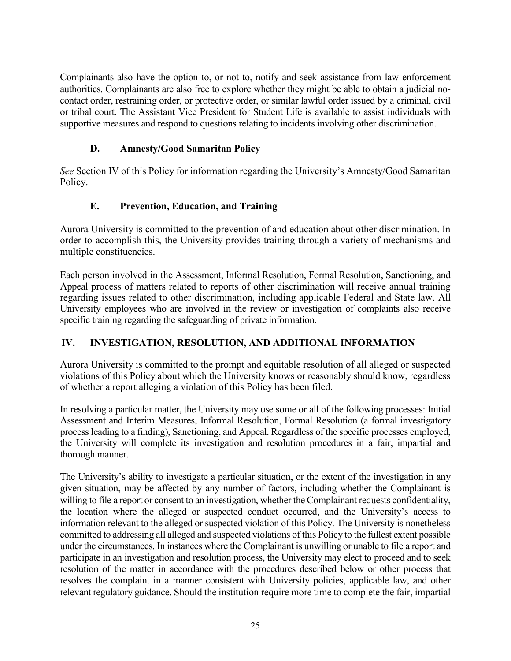Complainants also have the option to, or not to, notify and seek assistance from law enforcement authorities. Complainants are also free to explore whether they might be able to obtain a judicial nocontact order, restraining order, or protective order, or similar lawful order issued by a criminal, civil or tribal court. The Assistant Vice President for Student Life is available to assist individuals with supportive measures and respond to questions relating to incidents involving other discrimination.

### **D. Amnesty/Good Samaritan Policy**

<span id="page-27-0"></span>*See* Section IV of this Policy for information regarding the University's Amnesty/Good Samaritan Policy.

# **E. Prevention, Education, and Training**

<span id="page-27-1"></span>Aurora University is committed to the prevention of and education about other discrimination. In order to accomplish this, the University provides training through a variety of mechanisms and multiple constituencies.

Each person involved in the Assessment, Informal Resolution, Formal Resolution, Sanctioning, and Appeal process of matters related to reports of other discrimination will receive annual training regarding issues related to other discrimination, including applicable Federal and State law. All University employees who are involved in the review or investigation of complaints also receive specific training regarding the safeguarding of private information.

#### <span id="page-27-2"></span>**IV. INVESTIGATION, RESOLUTION, AND ADDITIONAL INFORMATION**

Aurora University is committed to the prompt and equitable resolution of all alleged or suspected violations of this Policy about which the University knows or reasonably should know, regardless of whether a report alleging a violation of this Policy has been filed.

In resolving a particular matter, the University may use some or all of the following processes: Initial Assessment and Interim Measures, Informal Resolution, Formal Resolution (a formal investigatory process leading to a finding), Sanctioning, and Appeal. Regardless of the specific processes employed, the University will complete its investigation and resolution procedures in a fair, impartial and thorough manner.

The University's ability to investigate a particular situation, or the extent of the investigation in any given situation, may be affected by any number of factors, including whether the Complainant is willing to file a report or consent to an investigation, whether the Complainant requests confidentiality, the location where the alleged or suspected conduct occurred, and the University's access to information relevant to the alleged or suspected violation of this Policy. The University is nonetheless committed to addressing all alleged and suspected violations of this Policy to the fullest extent possible under the circumstances. In instances where the Complainant is unwilling or unable to file a report and participate in an investigation and resolution process, the University may elect to proceed and to seek resolution of the matter in accordance with the procedures described below or other process that resolves the complaint in a manner consistent with University policies, applicable law, and other relevant regulatory guidance. Should the institution require more time to complete the fair, impartial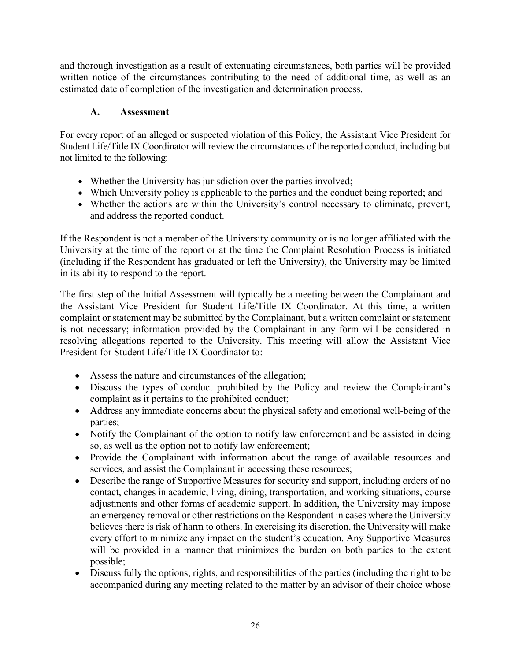and thorough investigation as a result of extenuating circumstances, both parties will be provided written notice of the circumstances contributing to the need of additional time, as well as an estimated date of completion of the investigation and determination process.

# **A. Assessment**

<span id="page-28-0"></span>For every report of an alleged or suspected violation of this Policy, the Assistant Vice President for Student Life/Title IX Coordinator will review the circumstances of the reported conduct, including but not limited to the following:

- Whether the University has jurisdiction over the parties involved;
- Which University policy is applicable to the parties and the conduct being reported; and
- Whether the actions are within the University's control necessary to eliminate, prevent, and address the reported conduct.

If the Respondent is not a member of the University community or is no longer affiliated with the University at the time of the report or at the time the Complaint Resolution Process is initiated (including if the Respondent has graduated or left the University), the University may be limited in its ability to respond to the report.

The first step of the Initial Assessment will typically be a meeting between the Complainant and the Assistant Vice President for Student Life/Title IX Coordinator. At this time, a written complaint or statement may be submitted by the Complainant, but a written complaint or statement is not necessary; information provided by the Complainant in any form will be considered in resolving allegations reported to the University. This meeting will allow the Assistant Vice President for Student Life/Title IX Coordinator to:

- Assess the nature and circumstances of the allegation;
- Discuss the types of conduct prohibited by the Policy and review the Complainant's complaint as it pertains to the prohibited conduct;
- Address any immediate concerns about the physical safety and emotional well-being of the parties;
- Notify the Complainant of the option to notify law enforcement and be assisted in doing so, as well as the option not to notify law enforcement;
- Provide the Complainant with information about the range of available resources and services, and assist the Complainant in accessing these resources;
- Describe the range of Supportive Measures for security and support, including orders of no contact, changes in academic, living, dining, transportation, and working situations, course adjustments and other forms of academic support. In addition, the University may impose an emergency removal or other restrictions on the Respondent in cases where the University believes there is risk of harm to others. In exercising its discretion, the University will make every effort to minimize any impact on the student's education. Any Supportive Measures will be provided in a manner that minimizes the burden on both parties to the extent possible;
- Discuss fully the options, rights, and responsibilities of the parties (including the right to be accompanied during any meeting related to the matter by an advisor of their choice whose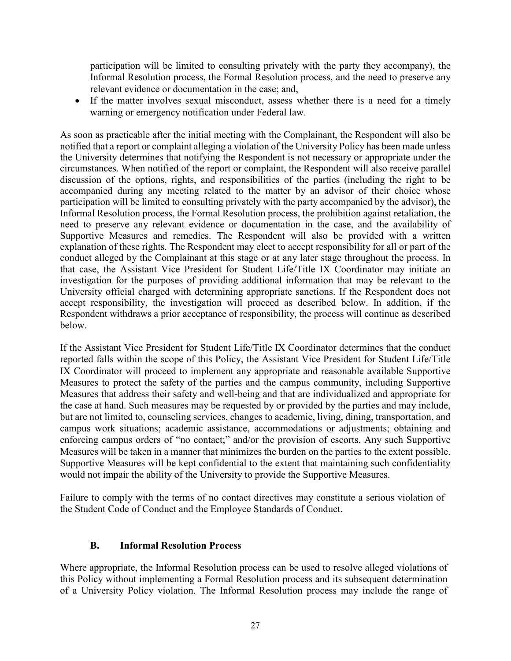participation will be limited to consulting privately with the party they accompany), the Informal Resolution process, the Formal Resolution process, and the need to preserve any relevant evidence or documentation in the case; and,

• If the matter involves sexual misconduct, assess whether there is a need for a timely warning or emergency notification under Federal law.

As soon as practicable after the initial meeting with the Complainant, the Respondent will also be notified that a report or complaint alleging a violation of the University Policy has been made unless the University determines that notifying the Respondent is not necessary or appropriate under the circumstances. When notified of the report or complaint, the Respondent will also receive parallel discussion of the options, rights, and responsibilities of the parties (including the right to be accompanied during any meeting related to the matter by an advisor of their choice whose participation will be limited to consulting privately with the party accompanied by the advisor), the Informal Resolution process, the Formal Resolution process, the prohibition against retaliation, the need to preserve any relevant evidence or documentation in the case, and the availability of Supportive Measures and remedies. The Respondent will also be provided with a written explanation of these rights. The Respondent may elect to accept responsibility for all or part of the conduct alleged by the Complainant at this stage or at any later stage throughout the process. In that case, the Assistant Vice President for Student Life/Title IX Coordinator may initiate an investigation for the purposes of providing additional information that may be relevant to the University official charged with determining appropriate sanctions. If the Respondent does not accept responsibility, the investigation will proceed as described below. In addition, if the Respondent withdraws a prior acceptance of responsibility, the process will continue as described below.

If the Assistant Vice President for Student Life/Title IX Coordinator determines that the conduct reported falls within the scope of this Policy, the Assistant Vice President for Student Life/Title IX Coordinator will proceed to implement any appropriate and reasonable available Supportive Measures to protect the safety of the parties and the campus community, including Supportive Measures that address their safety and well-being and that are individualized and appropriate for the case at hand. Such measures may be requested by or provided by the parties and may include, but are not limited to, counseling services, changes to academic, living, dining, transportation, and campus work situations; academic assistance, accommodations or adjustments; obtaining and enforcing campus orders of "no contact;" and/or the provision of escorts. Any such Supportive Measures will be taken in a manner that minimizes the burden on the parties to the extent possible. Supportive Measures will be kept confidential to the extent that maintaining such confidentiality would not impair the ability of the University to provide the Supportive Measures.

Failure to comply with the terms of no contact directives may constitute a serious violation of the Student Code of Conduct and the Employee Standards of Conduct.

#### **B. Informal Resolution Process**

<span id="page-29-0"></span>Where appropriate, the Informal Resolution process can be used to resolve alleged violations of this Policy without implementing a Formal Resolution process and its subsequent determination of a University Policy violation. The Informal Resolution process may include the range of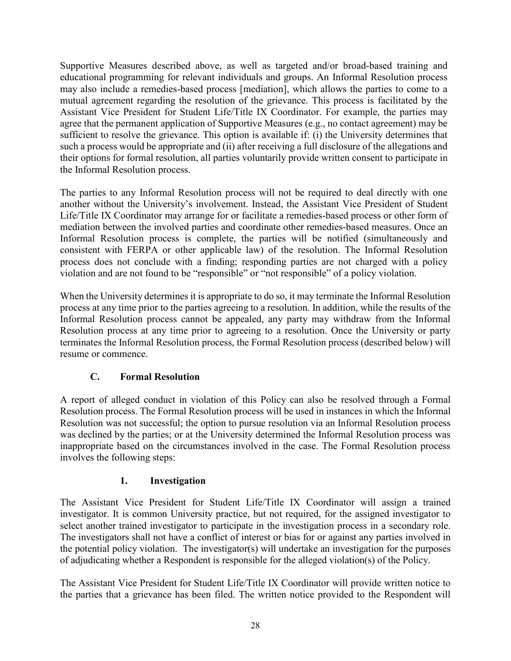Supportive Measures described above, as well as targeted and/or broad-based training and educational programming for relevant individuals and groups. An Informal Resolution process may also include a remedies-based process [mediation], which allows the parties to come to a mutual agreement regarding the resolution of the grievance. This process is facilitated by the Assistant Vice President for Student Life/Title IX Coordinator. For example, the parties may agree that the permanent application of Supportive Measures (e.g., no contact agreement) may be sufficient to resolve the grievance. This option is available if: (i) the University determines that such a process would be appropriate and (ii) after receiving a full disclosure of the allegations and their options for formal resolution, all parties voluntarily provide written consent to participate in the Informal Resolution process.

The parties to any Informal Resolution process will not be required to deal directly with one another without the University's involvement. Instead, the Assistant Vice President of Student Life/Title IX Coordinator may arrange for or facilitate a remedies-based process or other form of mediation between the involved parties and coordinate other remedies-based measures. Once an Informal Resolution process is complete, the parties will be notified (simultaneously and consistent with FERPA or other applicable law) of the resolution. The Informal Resolution process does not conclude with a finding; responding parties are not charged with a policy violation and are not found to be "responsible" or "not responsible" of a policy violation.

When the University determines it is appropriate to do so, it may terminate the Informal Resolution process at any time prior to the parties agreeing to a resolution. In addition, while the results of the Informal Resolution process cannot be appealed, any party may withdraw from the Informal Resolution process at any time prior to agreeing to a resolution. Once the University or party terminates the Informal Resolution process, the Formal Resolution process (described below) will resume or commence.

# **C. Formal Resolution**

<span id="page-30-0"></span>A report of alleged conduct in violation of this Policy can also be resolved through a Formal Resolution process. The Formal Resolution process will be used in instances in which the Informal Resolution was not successful; the option to pursue resolution via an Informal Resolution process was declined by the parties; or at the University determined the Informal Resolution process was inappropriate based on the circumstances involved in the case. The Formal Resolution process involves the following steps:

# **1. Investigation**

<span id="page-30-1"></span>The Assistant Vice President for Student Life/Title IX Coordinator will assign a trained investigator. It is common University practice, but not required, for the assigned investigator to select another trained investigator to participate in the investigation process in a secondary role. The investigators shall not have a conflict of interest or bias for or against any parties involved in the potential policy violation. The investigator(s) will undertake an investigation for the purposes of adjudicating whether a Respondent is responsible for the alleged violation(s) of the Policy.

The Assistant Vice President for Student Life/Title IX Coordinator will provide written notice to the parties that a grievance has been filed. The written notice provided to the Respondent will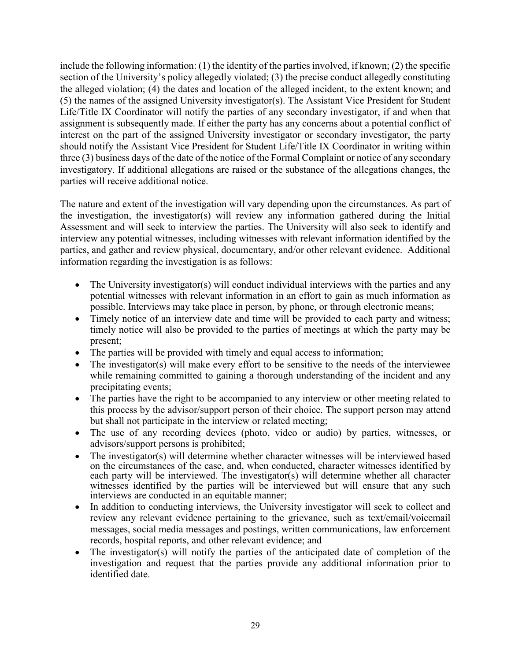include the following information:  $(1)$  the identity of the parties involved, if known;  $(2)$  the specific section of the University's policy allegedly violated; (3) the precise conduct allegedly constituting the alleged violation; (4) the dates and location of the alleged incident, to the extent known; and (5) the names of the assigned University investigator(s). The Assistant Vice President for Student Life/Title IX Coordinator will notify the parties of any secondary investigator, if and when that assignment is subsequently made. If either the party has any concerns about a potential conflict of interest on the part of the assigned University investigator or secondary investigator, the party should notify the Assistant Vice President for Student Life/Title IX Coordinator in writing within three (3) business days of the date of the notice of the Formal Complaint or notice of any secondary investigatory. If additional allegations are raised or the substance of the allegations changes, the parties will receive additional notice.

The nature and extent of the investigation will vary depending upon the circumstances. As part of the investigation, the investigator(s) will review any information gathered during the Initial Assessment and will seek to interview the parties. The University will also seek to identify and interview any potential witnesses, including witnesses with relevant information identified by the parties, and gather and review physical, documentary, and/or other relevant evidence. Additional information regarding the investigation is as follows:

- The University investigator(s) will conduct individual interviews with the parties and any potential witnesses with relevant information in an effort to gain as much information as possible. Interviews may take place in person, by phone, or through electronic means;
- Timely notice of an interview date and time will be provided to each party and witness; timely notice will also be provided to the parties of meetings at which the party may be present;
- The parties will be provided with timely and equal access to information;
- The investigator(s) will make every effort to be sensitive to the needs of the interviewee while remaining committed to gaining a thorough understanding of the incident and any precipitating events;
- The parties have the right to be accompanied to any interview or other meeting related to this process by the advisor/support person of their choice. The support person may attend but shall not participate in the interview or related meeting;
- The use of any recording devices (photo, video or audio) by parties, witnesses, or advisors/support persons is prohibited;
- The investigator(s) will determine whether character witnesses will be interviewed based on the circumstances of the case, and, when conducted, character witnesses identified by each party will be interviewed. The investigator(s) will determine whether all character witnesses identified by the parties will be interviewed but will ensure that any such interviews are conducted in an equitable manner;
- In addition to conducting interviews, the University investigator will seek to collect and review any relevant evidence pertaining to the grievance, such as text/email/voicemail messages, social media messages and postings, written communications, law enforcement records, hospital reports, and other relevant evidence; and
- The investigator(s) will notify the parties of the anticipated date of completion of the investigation and request that the parties provide any additional information prior to identified date.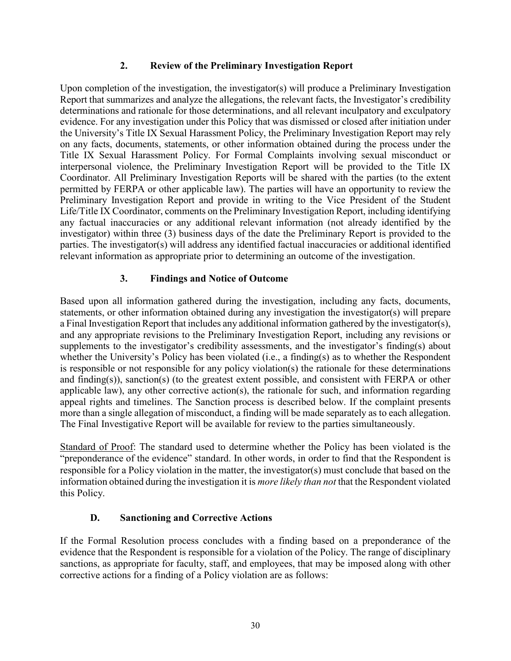#### **2. Review of the Preliminary Investigation Report**

<span id="page-32-0"></span>Upon completion of the investigation, the investigator(s) will produce a Preliminary Investigation Report that summarizes and analyze the allegations, the relevant facts, the Investigator's credibility determinations and rationale for those determinations, and all relevant inculpatory and exculpatory evidence. For any investigation under this Policy that was dismissed or closed after initiation under the University's Title IX Sexual Harassment Policy, the Preliminary Investigation Report may rely on any facts, documents, statements, or other information obtained during the process under the Title IX Sexual Harassment Policy. For Formal Complaints involving sexual misconduct or interpersonal violence, the Preliminary Investigation Report will be provided to the Title IX Coordinator. All Preliminary Investigation Reports will be shared with the parties (to the extent permitted by FERPA or other applicable law). The parties will have an opportunity to review the Preliminary Investigation Report and provide in writing to the Vice President of the Student Life/Title IX Coordinator, comments on the Preliminary Investigation Report, including identifying any factual inaccuracies or any additional relevant information (not already identified by the investigator) within three (3) business days of the date the Preliminary Report is provided to the parties. The investigator(s) will address any identified factual inaccuracies or additional identified relevant information as appropriate prior to determining an outcome of the investigation.

#### **3. Findings and Notice of Outcome**

<span id="page-32-1"></span>Based upon all information gathered during the investigation, including any facts, documents, statements, or other information obtained during any investigation the investigator(s) will prepare a Final Investigation Report that includes any additional information gathered by the investigator(s), and any appropriate revisions to the Preliminary Investigation Report, including any revisions or supplements to the investigator's credibility assessments, and the investigator's finding(s) about whether the University's Policy has been violated (i.e., a finding(s) as to whether the Respondent is responsible or not responsible for any policy violation(s) the rationale for these determinations and finding(s)), sanction(s) (to the greatest extent possible, and consistent with FERPA or other applicable law), any other corrective action(s), the rationale for such, and information regarding appeal rights and timelines. The Sanction process is described below. If the complaint presents more than a single allegation of misconduct, a finding will be made separately as to each allegation. The Final Investigative Report will be available for review to the parties simultaneously.

Standard of Proof: The standard used to determine whether the Policy has been violated is the "preponderance of the evidence" standard. In other words, in order to find that the Respondent is responsible for a Policy violation in the matter, the investigator(s) must conclude that based on the information obtained during the investigation it is *more likely than not* that the Respondent violated this Policy.

#### **D. Sanctioning and Corrective Actions**

<span id="page-32-2"></span>If the Formal Resolution process concludes with a finding based on a preponderance of the evidence that the Respondent is responsible for a violation of the Policy. The range of disciplinary sanctions, as appropriate for faculty, staff, and employees, that may be imposed along with other corrective actions for a finding of a Policy violation are as follows: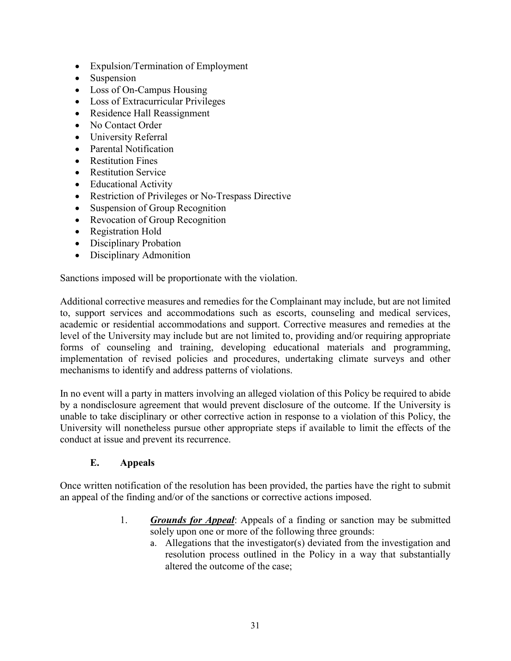- Expulsion/Termination of Employment
- Suspension
- Loss of On-Campus Housing
- Loss of Extracurricular Privileges
- Residence Hall Reassignment
- No Contact Order
- University Referral
- Parental Notification
- Restitution Fines
- Restitution Service
- Educational Activity
- Restriction of Privileges or No-Trespass Directive
- Suspension of Group Recognition
- Revocation of Group Recognition
- Registration Hold
- Disciplinary Probation
- Disciplinary Admonition

Sanctions imposed will be proportionate with the violation.

Additional corrective measures and remedies for the Complainant may include, but are not limited to, support services and accommodations such as escorts, counseling and medical services, academic or residential accommodations and support. Corrective measures and remedies at the level of the University may include but are not limited to, providing and/or requiring appropriate forms of counseling and training, developing educational materials and programming, implementation of revised policies and procedures, undertaking climate surveys and other mechanisms to identify and address patterns of violations.

In no event will a party in matters involving an alleged violation of this Policy be required to abide by a nondisclosure agreement that would prevent disclosure of the outcome. If the University is unable to take disciplinary or other corrective action in response to a violation of this Policy, the University will nonetheless pursue other appropriate steps if available to limit the effects of the conduct at issue and prevent its recurrence.

#### **E. Appeals**

<span id="page-33-0"></span>Once written notification of the resolution has been provided, the parties have the right to submit an appeal of the finding and/or of the sanctions or corrective actions imposed.

- 1. *Grounds for Appeal*: Appeals of a finding or sanction may be submitted solely upon one or more of the following three grounds:
	- a. Allegations that the investigator(s) deviated from the investigation and resolution process outlined in the Policy in a way that substantially altered the outcome of the case;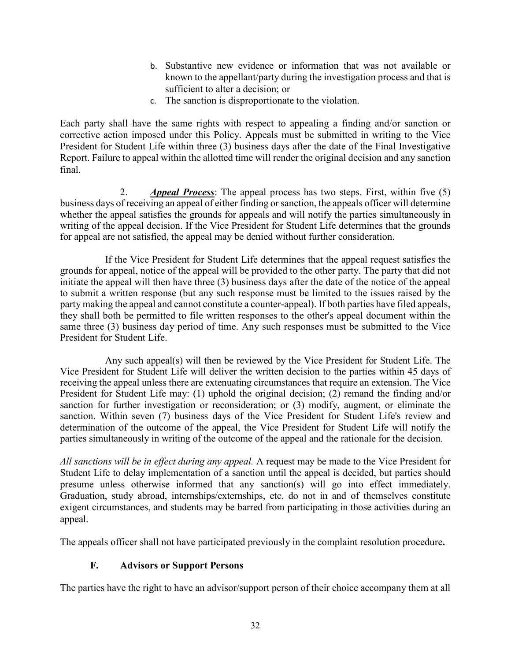- b. Substantive new evidence or information that was not available or known to the appellant/party during the investigation process and that is sufficient to alter a decision; or
- c. The sanction is disproportionate to the violation.

Each party shall have the same rights with respect to appealing a finding and/or sanction or corrective action imposed under this Policy. Appeals must be submitted in writing to the Vice President for Student Life within three (3) business days after the date of the Final Investigative Report. Failure to appeal within the allotted time will render the original decision and any sanction final.

2. *Appeal Process*: The appeal process has two steps. First, within five (5) business days of receiving an appeal of either finding or sanction, the appeals officer will determine whether the appeal satisfies the grounds for appeals and will notify the parties simultaneously in writing of the appeal decision. If the Vice President for Student Life determines that the grounds for appeal are not satisfied, the appeal may be denied without further consideration.

If the Vice President for Student Life determines that the appeal request satisfies the grounds for appeal, notice of the appeal will be provided to the other party. The party that did not initiate the appeal will then have three (3) business days after the date of the notice of the appeal to submit a written response (but any such response must be limited to the issues raised by the party making the appeal and cannot constitute a counter-appeal). If both parties have filed appeals, they shall both be permitted to file written responses to the other's appeal document within the same three (3) business day period of time. Any such responses must be submitted to the Vice President for Student Life.

Any such appeal(s) will then be reviewed by the Vice President for Student Life. The Vice President for Student Life will deliver the written decision to the parties within 45 days of receiving the appeal unless there are extenuating circumstances that require an extension. The Vice President for Student Life may: (1) uphold the original decision; (2) remand the finding and/or sanction for further investigation or reconsideration; or (3) modify, augment, or eliminate the sanction. Within seven (7) business days of the Vice President for Student Life's review and determination of the outcome of the appeal, the Vice President for Student Life will notify the parties simultaneously in writing of the outcome of the appeal and the rationale for the decision.

*All sanctions will be in effect during any appeal.* A request may be made to the Vice President for Student Life to delay implementation of a sanction until the appeal is decided, but parties should presume unless otherwise informed that any sanction(s) will go into effect immediately. Graduation, study abroad, internships/externships, etc. do not in and of themselves constitute exigent circumstances, and students may be barred from participating in those activities during an appeal.

<span id="page-34-0"></span>The appeals officer shall not have participated previously in the complaint resolution procedure**.** 

# **F. Advisors or Support Persons**

The parties have the right to have an advisor/support person of their choice accompany them at all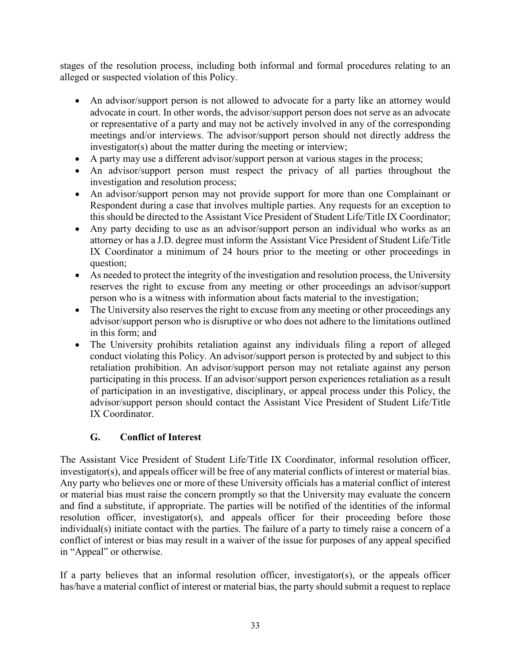stages of the resolution process, including both informal and formal procedures relating to an alleged or suspected violation of this Policy.

- An advisor/support person is not allowed to advocate for a party like an attorney would advocate in court. In other words, the advisor/support person does not serve as an advocate or representative of a party and may not be actively involved in any of the corresponding meetings and/or interviews. The advisor/support person should not directly address the investigator(s) about the matter during the meeting or interview;
- A party may use a different advisor/support person at various stages in the process;
- An advisor/support person must respect the privacy of all parties throughout the investigation and resolution process;
- An advisor/support person may not provide support for more than one Complainant or Respondent during a case that involves multiple parties. Any requests for an exception to this should be directed to the Assistant Vice President of Student Life/Title IX Coordinator;
- Any party deciding to use as an advisor/support person an individual who works as an attorney or has a J.D. degree must inform the Assistant Vice President of Student Life/Title IX Coordinator a minimum of 24 hours prior to the meeting or other proceedings in question;
- As needed to protect the integrity of the investigation and resolution process, the University reserves the right to excuse from any meeting or other proceedings an advisor/support person who is a witness with information about facts material to the investigation;
- The University also reserves the right to excuse from any meeting or other proceedings any advisor/support person who is disruptive or who does not adhere to the limitations outlined in this form; and
- The University prohibits retaliation against any individuals filing a report of alleged conduct violating this Policy. An advisor/support person is protected by and subject to this retaliation prohibition. An advisor/support person may not retaliate against any person participating in this process. If an advisor/support person experiences retaliation as a result of participation in an investigative, disciplinary, or appeal process under this Policy, the advisor/support person should contact the Assistant Vice President of Student Life/Title IX Coordinator.

# **G. Conflict of Interest**

<span id="page-35-0"></span>The Assistant Vice President of Student Life/Title IX Coordinator, informal resolution officer, investigator(s), and appeals officer will be free of any material conflicts of interest or material bias. Any party who believes one or more of these University officials has a material conflict of interest or material bias must raise the concern promptly so that the University may evaluate the concern and find a substitute, if appropriate. The parties will be notified of the identities of the informal resolution officer, investigator(s), and appeals officer for their proceeding before those individual(s) initiate contact with the parties. The failure of a party to timely raise a concern of a conflict of interest or bias may result in a waiver of the issue for purposes of any appeal specified in "Appeal" or otherwise.

If a party believes that an informal resolution officer, investigator(s), or the appeals officer has/have a material conflict of interest or material bias, the party should submit a request to replace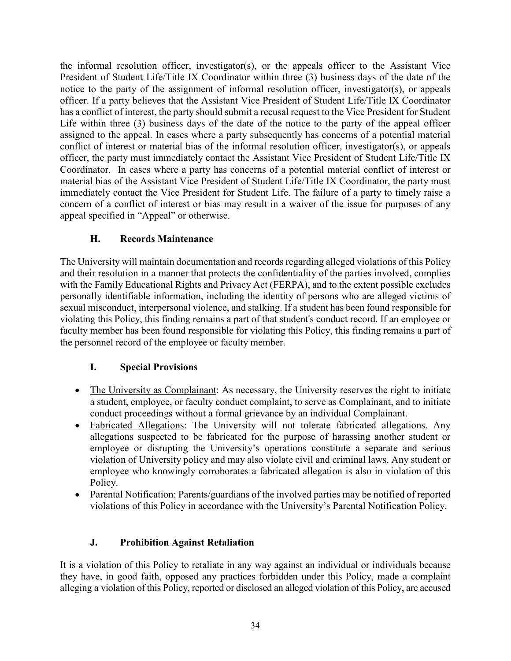the informal resolution officer, investigator(s), or the appeals officer to the Assistant Vice President of Student Life/Title IX Coordinator within three (3) business days of the date of the notice to the party of the assignment of informal resolution officer, investigator(s), or appeals officer. If a party believes that the Assistant Vice President of Student Life/Title IX Coordinator has a conflict of interest, the party should submit a recusal request to the Vice President for Student Life within three (3) business days of the date of the notice to the party of the appeal officer assigned to the appeal. In cases where a party subsequently has concerns of a potential material conflict of interest or material bias of the informal resolution officer, investigator(s), or appeals officer, the party must immediately contact the Assistant Vice President of Student Life/Title IX Coordinator. In cases where a party has concerns of a potential material conflict of interest or material bias of the Assistant Vice President of Student Life/Title IX Coordinator, the party must immediately contact the Vice President for Student Life. The failure of a party to timely raise a concern of a conflict of interest or bias may result in a waiver of the issue for purposes of any appeal specified in "Appeal" or otherwise.

# **H. Records Maintenance**

<span id="page-36-0"></span>The University will maintain documentation and records regarding alleged violations of this Policy and their resolution in a manner that protects the confidentiality of the parties involved, complies with the Family Educational Rights and Privacy Act (FERPA), and to the extent possible excludes personally identifiable information, including the identity of persons who are alleged victims of sexual misconduct, interpersonal violence, and stalking. If a student has been found responsible for violating this Policy, this finding remains a part of that student's conduct record. If an employee or faculty member has been found responsible for violating this Policy, this finding remains a part of the personnel record of the employee or faculty member.

# **I. Special Provisions**

- <span id="page-36-1"></span>• The University as Complainant: As necessary, the University reserves the right to initiate a student, employee, or faculty conduct complaint, to serve as Complainant, and to initiate conduct proceedings without a formal grievance by an individual Complainant.
- Fabricated Allegations: The University will not tolerate fabricated allegations. Any allegations suspected to be fabricated for the purpose of harassing another student or employee or disrupting the University's operations constitute a separate and serious violation of University policy and may also violate civil and criminal laws. Any student or employee who knowingly corroborates a fabricated allegation is also in violation of this Policy.
- Parental Notification: Parents/guardians of the involved parties may be notified of reported violations of this Policy in accordance with the University's Parental Notification Policy.

# **J. Prohibition Against Retaliation**

<span id="page-36-2"></span>It is a violation of this Policy to retaliate in any way against an individual or individuals because they have, in good faith, opposed any practices forbidden under this Policy, made a complaint alleging a violation of this Policy, reported or disclosed an alleged violation of this Policy, are accused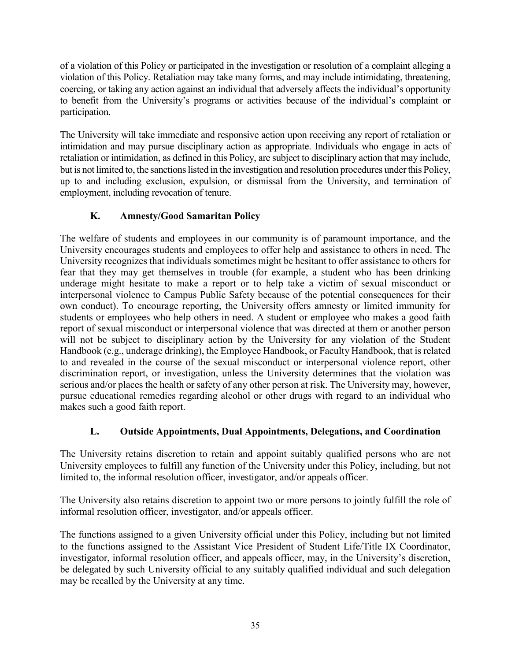of a violation of this Policy or participated in the investigation or resolution of a complaint alleging a violation of this Policy. Retaliation may take many forms, and may include intimidating, threatening, coercing, or taking any action against an individual that adversely affects the individual's opportunity to benefit from the University's programs or activities because of the individual's complaint or participation.

The University will take immediate and responsive action upon receiving any report of retaliation or intimidation and may pursue disciplinary action as appropriate. Individuals who engage in acts of retaliation or intimidation, as defined in this Policy, are subject to disciplinary action that may include, but is not limited to, the sanctions listed in the investigation and resolution procedures under this Policy, up to and including exclusion, expulsion, or dismissal from the University, and termination of employment, including revocation of tenure.

# <span id="page-37-0"></span>**K. Amnesty/Good Samaritan Policy**

The welfare of students and employees in our community is of paramount importance, and the University encourages students and employees to offer help and assistance to others in need. The University recognizes that individuals sometimes might be hesitant to offer assistance to others for fear that they may get themselves in trouble (for example, a student who has been drinking underage might hesitate to make a report or to help take a victim of sexual misconduct or interpersonal violence to Campus Public Safety because of the potential consequences for their own conduct). To encourage reporting, the University offers amnesty or limited immunity for students or employees who help others in need. A student or employee who makes a good faith report of sexual misconduct or interpersonal violence that was directed at them or another person will not be subject to disciplinary action by the University for any violation of the Student Handbook (e.g., underage drinking), the Employee Handbook, or Faculty Handbook, that is related to and revealed in the course of the sexual misconduct or interpersonal violence report, other discrimination report, or investigation, unless the University determines that the violation was serious and/or places the health or safety of any other person at risk. The University may, however, pursue educational remedies regarding alcohol or other drugs with regard to an individual who makes such a good faith report.

# **L. Outside Appointments, Dual Appointments, Delegations, and Coordination**

<span id="page-37-1"></span>The University retains discretion to retain and appoint suitably qualified persons who are not University employees to fulfill any function of the University under this Policy, including, but not limited to, the informal resolution officer, investigator, and/or appeals officer.

The University also retains discretion to appoint two or more persons to jointly fulfill the role of informal resolution officer, investigator, and/or appeals officer.

The functions assigned to a given University official under this Policy, including but not limited to the functions assigned to the Assistant Vice President of Student Life/Title IX Coordinator, investigator, informal resolution officer, and appeals officer, may, in the University's discretion, be delegated by such University official to any suitably qualified individual and such delegation may be recalled by the University at any time.